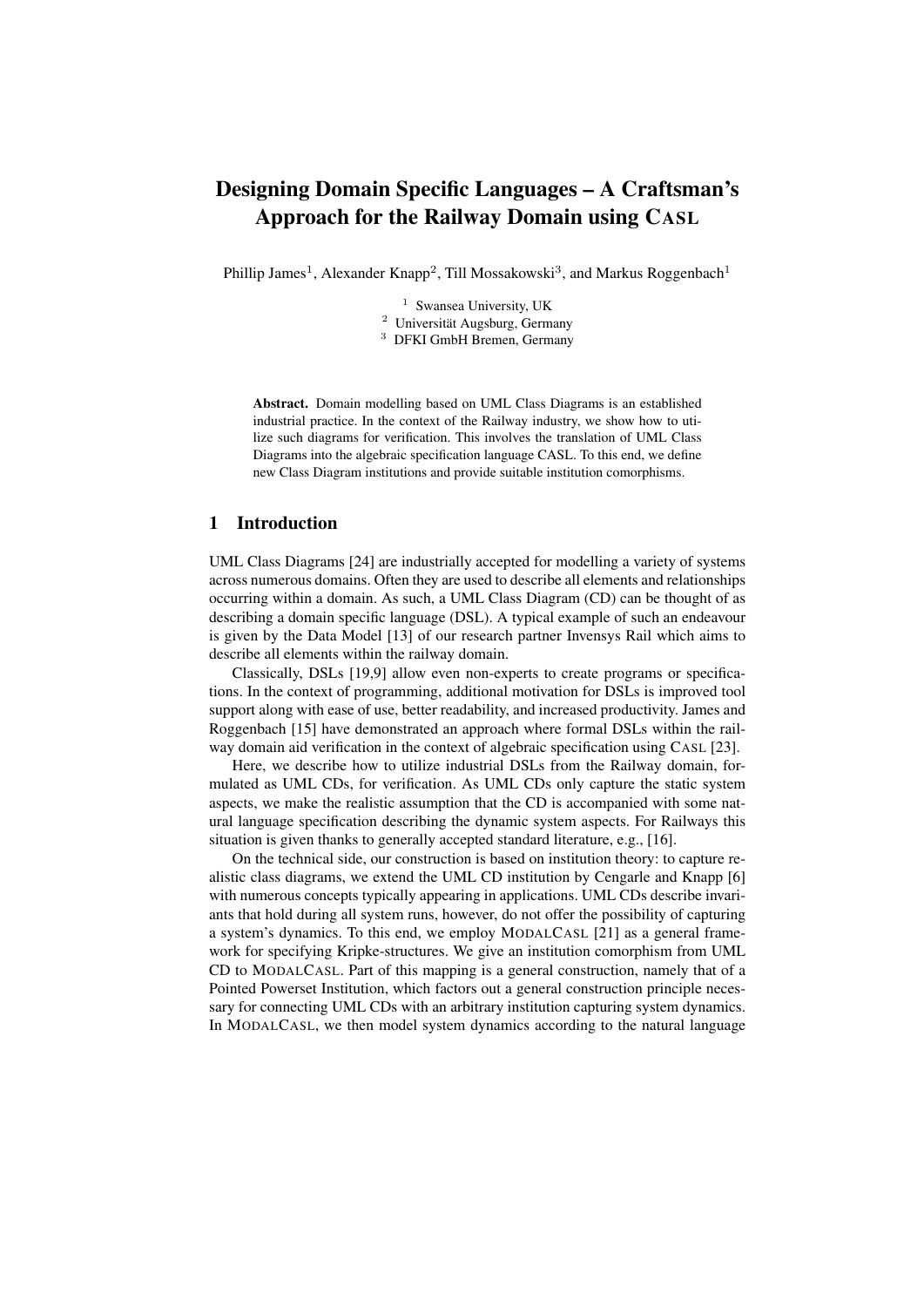# Designing Domain Specific Languages – A Craftsman's Approach for the Railway Domain using CASL

Phillip James<sup>1</sup>, Alexander Knapp<sup>2</sup>, Till Mossakowski<sup>3</sup>, and Markus Roggenbach<sup>1</sup>

<sup>1</sup> Swansea University, UK <sup>2</sup> Universität Augsburg, Germany <sup>3</sup> DFKI GmbH Bremen, Germany

Abstract. Domain modelling based on UML Class Diagrams is an established industrial practice. In the context of the Railway industry, we show how to utilize such diagrams for verification. This involves the translation of UML Class Diagrams into the algebraic specification language CASL. To this end, we define new Class Diagram institutions and provide suitable institution comorphisms.

## 1 Introduction

UML Class Diagrams [24] are industrially accepted for modelling a variety of systems across numerous domains. Often they are used to describe all elements and relationships occurring within a domain. As such, a UML Class Diagram (CD) can be thought of as describing a domain specific language (DSL). A typical example of such an endeavour is given by the Data Model [13] of our research partner Invensys Rail which aims to describe all elements within the railway domain.

Classically, DSLs [19,9] allow even non-experts to create programs or specifications. In the context of programming, additional motivation for DSLs is improved tool support along with ease of use, better readability, and increased productivity. James and Roggenbach [15] have demonstrated an approach where formal DSLs within the railway domain aid verification in the context of algebraic specification using CASL [23].

Here, we describe how to utilize industrial DSLs from the Railway domain, formulated as UML CDs, for verification. As UML CDs only capture the static system aspects, we make the realistic assumption that the CD is accompanied with some natural language specification describing the dynamic system aspects. For Railways this situation is given thanks to generally accepted standard literature, e.g., [16].

On the technical side, our construction is based on institution theory: to capture realistic class diagrams, we extend the UML CD institution by Cengarle and Knapp [6] with numerous concepts typically appearing in applications. UML CDs describe invariants that hold during all system runs, however, do not offer the possibility of capturing a system's dynamics. To this end, we employ MODALCASL [21] as a general framework for specifying Kripke-structures. We give an institution comorphism from UML CD to MODALCASL. Part of this mapping is a general construction, namely that of a Pointed Powerset Institution, which factors out a general construction principle necessary for connecting UML CDs with an arbitrary institution capturing system dynamics. In MODALCASL, we then model system dynamics according to the natural language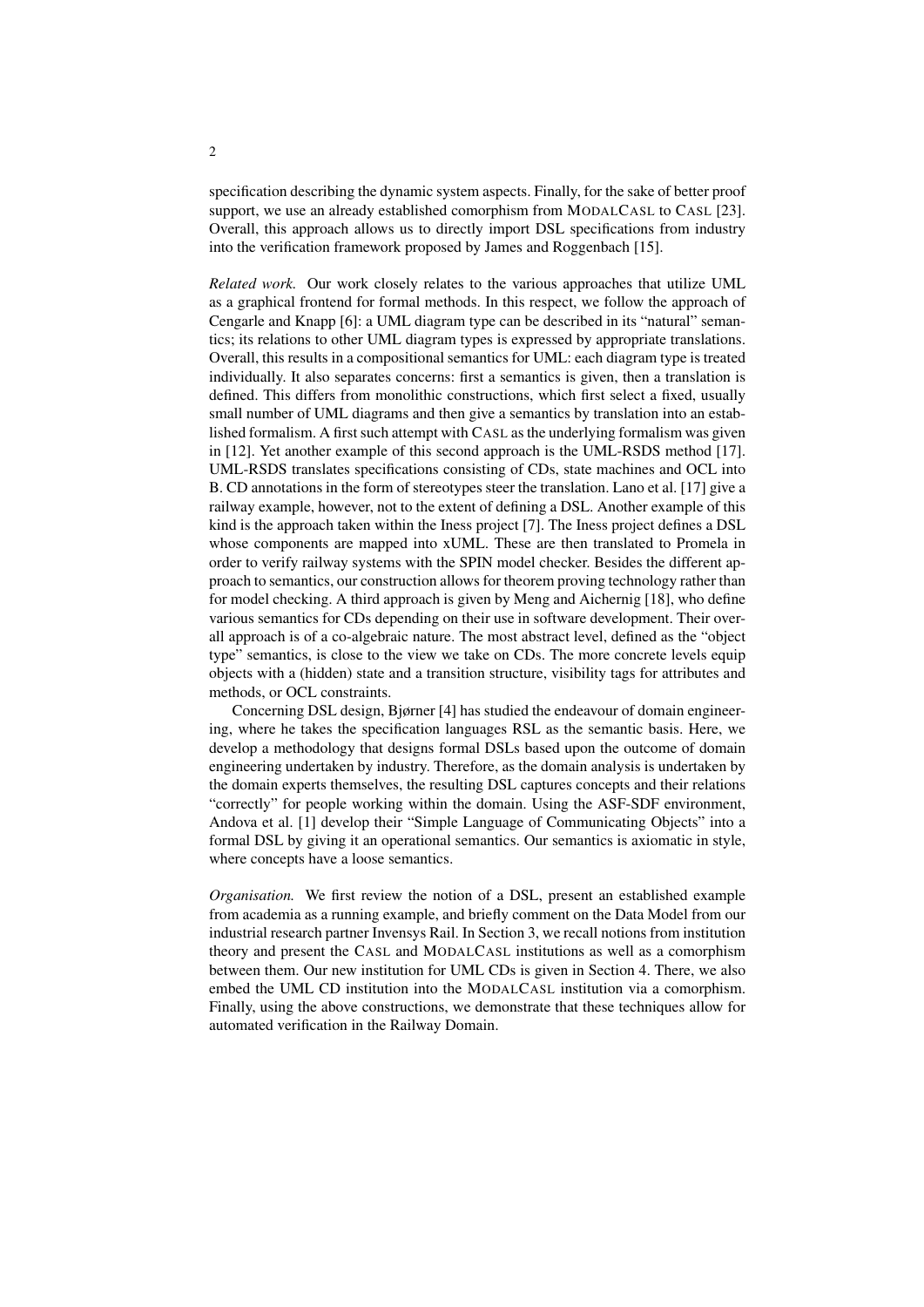specification describing the dynamic system aspects. Finally, for the sake of better proof support, we use an already established comorphism from MODALCASL to CASL [23]. Overall, this approach allows us to directly import DSL specifications from industry into the verification framework proposed by James and Roggenbach [15].

*Related work.* Our work closely relates to the various approaches that utilize UML as a graphical frontend for formal methods. In this respect, we follow the approach of Cengarle and Knapp [6]: a UML diagram type can be described in its "natural" semantics; its relations to other UML diagram types is expressed by appropriate translations. Overall, this results in a compositional semantics for UML: each diagram type is treated individually. It also separates concerns: first a semantics is given, then a translation is defined. This differs from monolithic constructions, which first select a fixed, usually small number of UML diagrams and then give a semantics by translation into an established formalism. A first such attempt with CASL as the underlying formalism was given in [12]. Yet another example of this second approach is the UML-RSDS method [17]. UML-RSDS translates specifications consisting of CDs, state machines and OCL into B. CD annotations in the form of stereotypes steer the translation. Lano et al. [17] give a railway example, however, not to the extent of defining a DSL. Another example of this kind is the approach taken within the Iness project [7]. The Iness project defines a DSL whose components are mapped into xUML. These are then translated to Promela in order to verify railway systems with the SPIN model checker. Besides the different approach to semantics, our construction allows for theorem proving technology rather than for model checking. A third approach is given by Meng and Aichernig [18], who define various semantics for CDs depending on their use in software development. Their overall approach is of a co-algebraic nature. The most abstract level, defined as the "object type" semantics, is close to the view we take on CDs. The more concrete levels equip objects with a (hidden) state and a transition structure, visibility tags for attributes and methods, or OCL constraints.

Concerning DSL design, Bjørner [4] has studied the endeavour of domain engineering, where he takes the specification languages RSL as the semantic basis. Here, we develop a methodology that designs formal DSLs based upon the outcome of domain engineering undertaken by industry. Therefore, as the domain analysis is undertaken by the domain experts themselves, the resulting DSL captures concepts and their relations "correctly" for people working within the domain. Using the ASF-SDF environment, Andova et al. [1] develop their "Simple Language of Communicating Objects" into a formal DSL by giving it an operational semantics. Our semantics is axiomatic in style, where concepts have a loose semantics.

*Organisation.* We first review the notion of a DSL, present an established example from academia as a running example, and briefly comment on the Data Model from our industrial research partner Invensys Rail. In Section 3, we recall notions from institution theory and present the CASL and MODALCASL institutions as well as a comorphism between them. Our new institution for UML CDs is given in Section 4. There, we also embed the UML CD institution into the MODALCASL institution via a comorphism. Finally, using the above constructions, we demonstrate that these techniques allow for automated verification in the Railway Domain.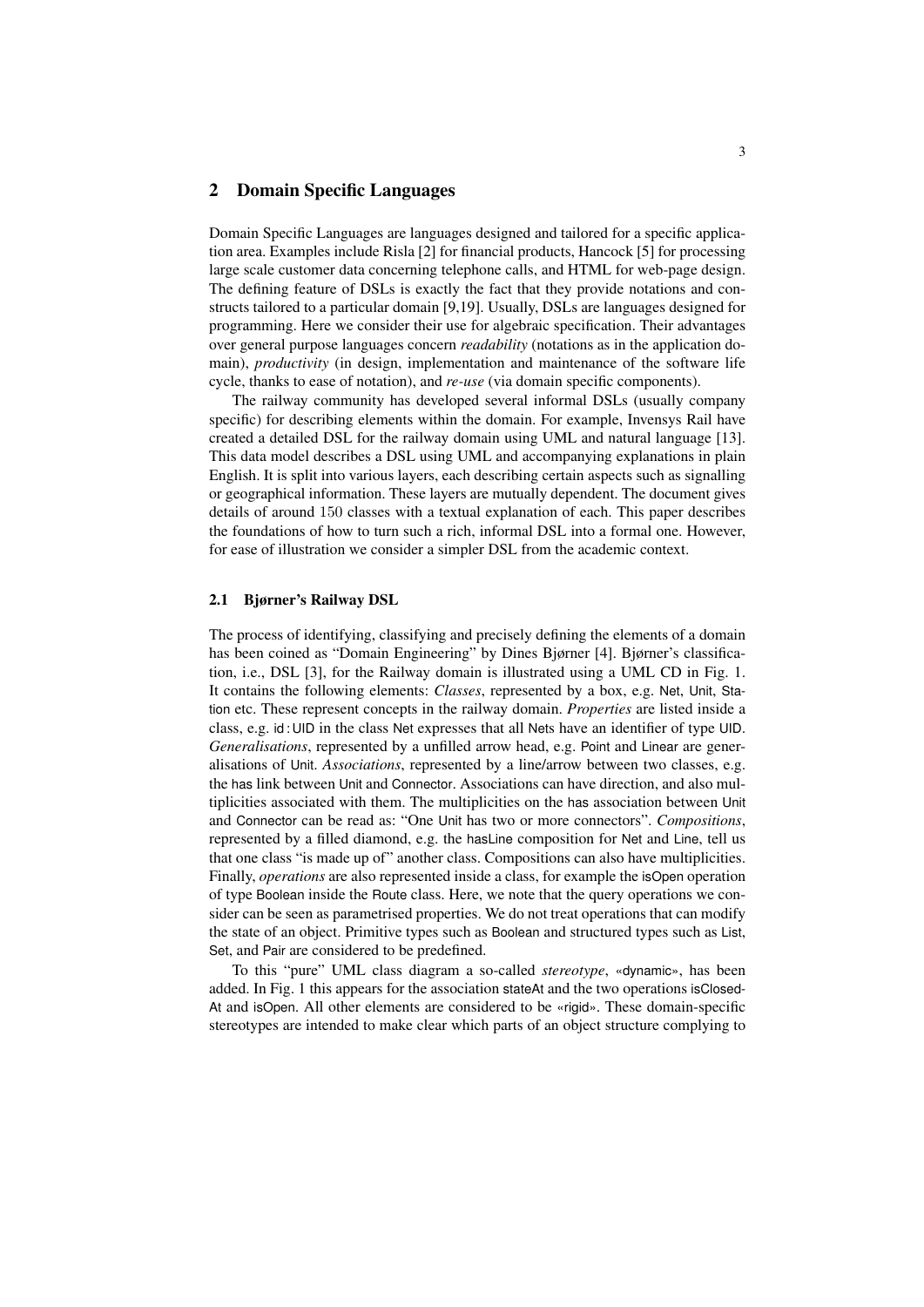## 2 Domain Specific Languages

Domain Specific Languages are languages designed and tailored for a specific application area. Examples include Risla [2] for financial products, Hancock [5] for processing large scale customer data concerning telephone calls, and HTML for web-page design. The defining feature of DSLs is exactly the fact that they provide notations and constructs tailored to a particular domain [9,19]. Usually, DSLs are languages designed for programming. Here we consider their use for algebraic specification. Their advantages over general purpose languages concern *readability* (notations as in the application domain), *productivity* (in design, implementation and maintenance of the software life cycle, thanks to ease of notation), and *re-use* (via domain specific components).

The railway community has developed several informal DSLs (usually company specific) for describing elements within the domain. For example, Invensys Rail have created a detailed DSL for the railway domain using UML and natural language [13]. This data model describes a DSL using UML and accompanying explanations in plain English. It is split into various layers, each describing certain aspects such as signalling or geographical information. These layers are mutually dependent. The document gives details of around 150 classes with a textual explanation of each. This paper describes the foundations of how to turn such a rich, informal DSL into a formal one. However, for ease of illustration we consider a simpler DSL from the academic context.

#### 2.1 Bjørner's Railway DSL

The process of identifying, classifying and precisely defining the elements of a domain has been coined as "Domain Engineering" by Dines Bjørner [4]. Bjørner's classification, i.e., DSL [3], for the Railway domain is illustrated using a UML CD in Fig. 1. It contains the following elements: *Classes*, represented by a box, e.g. Net, Unit, Station etc. These represent concepts in the railway domain. *Properties* are listed inside a class, e.g. id : UID in the class Net expresses that all Nets have an identifier of type UID. *Generalisations*, represented by a unfilled arrow head, e.g. Point and Linear are generalisations of Unit. *Associations*, represented by a line/arrow between two classes, e.g. the has link between Unit and Connector. Associations can have direction, and also multiplicities associated with them. The multiplicities on the has association between Unit and Connector can be read as: "One Unit has two or more connectors". *Compositions*, represented by a filled diamond, e.g. the hasLine composition for Net and Line, tell us that one class "is made up of" another class. Compositions can also have multiplicities. Finally, *operations* are also represented inside a class, for example the isOpen operation of type Boolean inside the Route class. Here, we note that the query operations we consider can be seen as parametrised properties. We do not treat operations that can modify the state of an object. Primitive types such as Boolean and structured types such as List, Set, and Pair are considered to be predefined.

To this "pure" UML class diagram a so-called *stereotype*, «dynamic», has been added. In Fig. 1 this appears for the association stateAt and the two operations isClosed-At and isOpen. All other elements are considered to be «rigid». These domain-specific stereotypes are intended to make clear which parts of an object structure complying to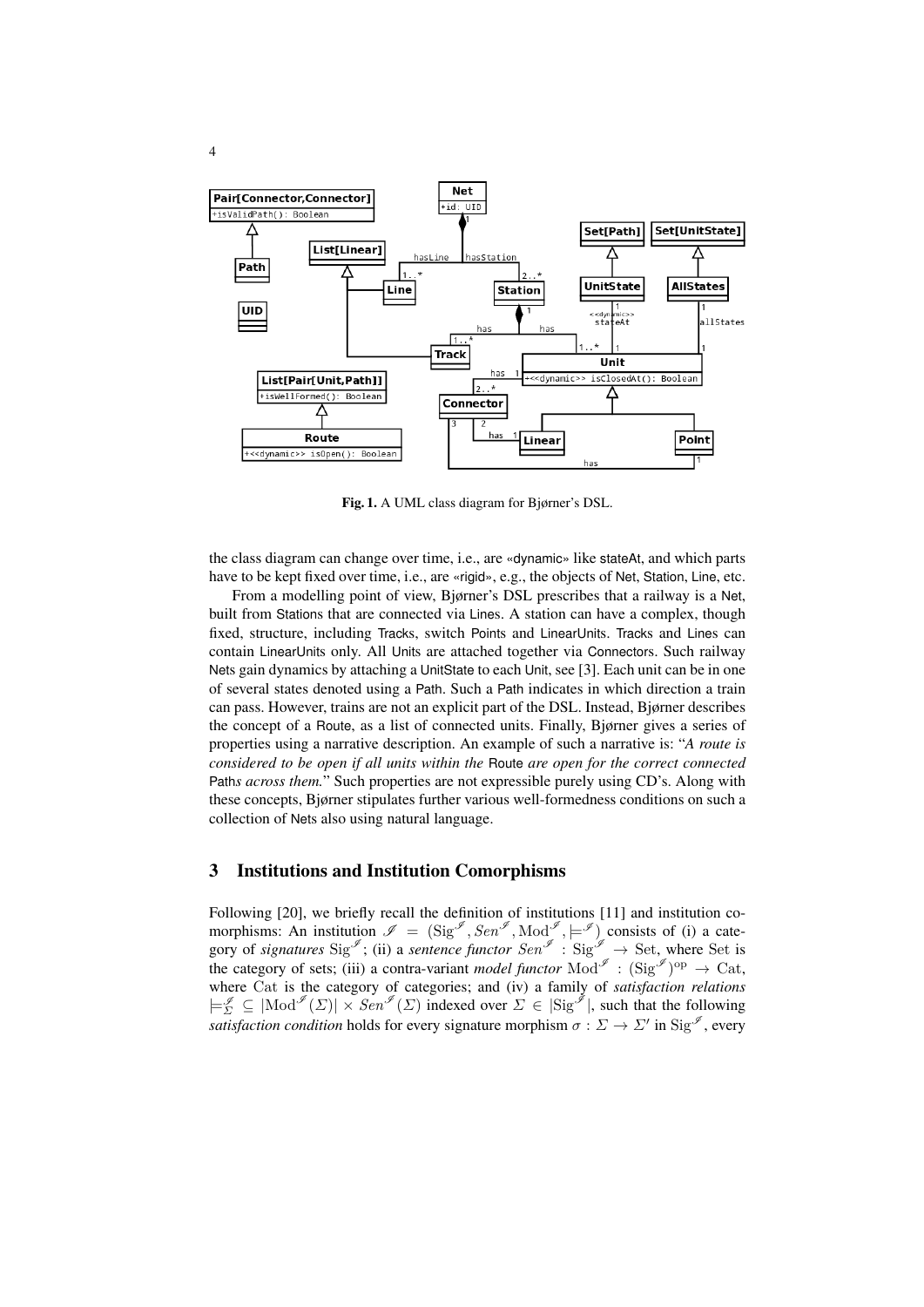

Fig. 1. A UML class diagram for Bjørner's DSL.

the class diagram can change over time, i.e., are «dynamic» like stateAt, and which parts have to be kept fixed over time, i.e., are «rigid», e.g., the objects of Net, Station, Line, etc.

From a modelling point of view, Bjørner's DSL prescribes that a railway is a Net, built from Stations that are connected via Lines. A station can have a complex, though fixed, structure, including Tracks, switch Points and LinearUnits. Tracks and Lines can contain LinearUnits only. All Units are attached together via Connectors. Such railway Nets gain dynamics by attaching a UnitState to each Unit, see [3]. Each unit can be in one of several states denoted using a Path. Such a Path indicates in which direction a train can pass. However, trains are not an explicit part of the DSL. Instead, Bjørner describes the concept of a Route, as a list of connected units. Finally, Bjørner gives a series of properties using a narrative description. An example of such a narrative is: "*A route is considered to be open if all units within the* Route *are open for the correct connected* Path*s across them.*" Such properties are not expressible purely using CD's. Along with these concepts, Bjørner stipulates further various well-formedness conditions on such a collection of Nets also using natural language.

#### 3 Institutions and Institution Comorphisms

Following [20], we briefly recall the definition of institutions [11] and institution comorphisms: An institution  $\mathscr{I} = (\text{Sig}^{\mathscr{I}}, \text{Sen}^{\mathscr{I}}, \text{Mod}^{\mathscr{I}}, \models^{\mathscr{I}})$  consists of (i) a category of *signatures*  $Sig^{\mathscr{I}}$ ; (ii) a *sentence functor*  $Sen^{\mathscr{I}}$  :  $Sig^{\mathscr{I}} \to Set$ , where Set is the category of sets; (iii) a contra-variant *model functor*  $Mod^{\mathscr{I}} : (Sig^{\mathscr{I}})^{op} \to Cat$ , where Cat is the category of categories; and (iv) a family of *satisfaction relations*  $\models_{\Sigma}^{\mathscr{I}} \subseteq \text{[Mod}^{\mathscr{I}}(\Sigma) \mid \times \text{Sen}^{\mathscr{I}}(\Sigma)$  indexed over  $\Sigma \in \text{[Sig}^{\mathscr{I}} \mid$ , such that the following *satisfaction condition* holds for every signature morphism  $\sigma : \Sigma \to \Sigma'$  in Sig<sup> $\mathscr{I}$ </sup>, every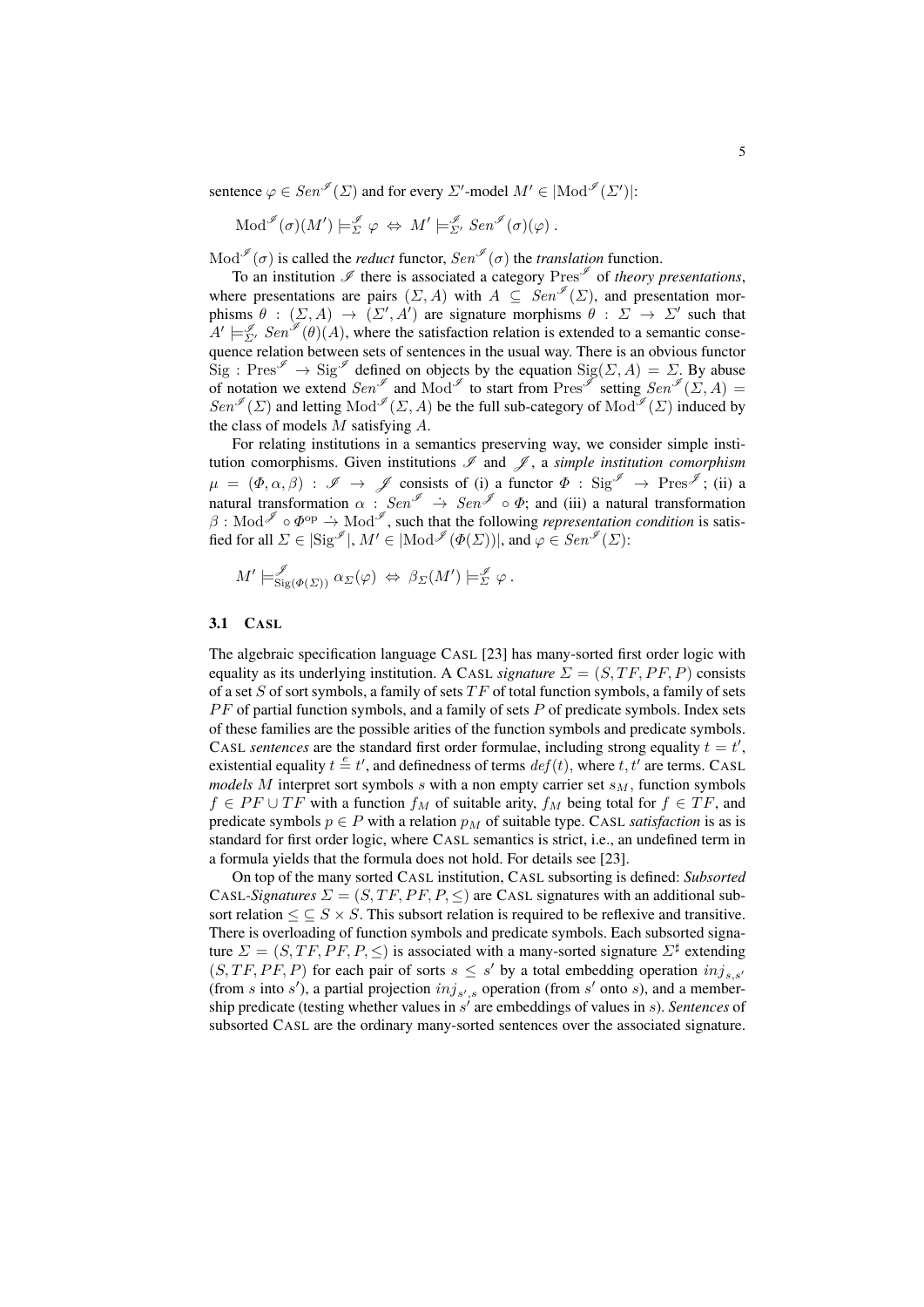sentence  $\varphi \in \mathit{Sen}^{\mathscr{I}}(\Sigma)$  and for every  $\Sigma'$ -model  $M' \in |\mathrm{Mod}^{\mathscr{I}}(\Sigma')|$ :

$$
\operatorname{Mod}^{\mathscr{I}}(\sigma)(M') \models_{\Sigma}^{\mathscr{I}} \varphi \Leftrightarrow M' \models_{\Sigma'}^{\mathscr{I}} \operatorname{Sen}^{\mathscr{I}}(\sigma)(\varphi) .
$$

 $Mod<sup>g</sup>(σ)$  is called the *reduct* functor,  $Sen<sup>g</sup>(σ)$  the *translation* function.

To an institution  $\mathscr I$  there is associated a category Pres<sup> $\mathscr I$ </sup> of *theory presentations*, where presentations are pairs  $(\Sigma, A)$  with  $A \subseteq \text{Sen}^{\mathscr{I}}(\Sigma)$ , and presentation morphisms  $\theta : (\Sigma, A) \to (\Sigma', A')$  are signature morphisms  $\theta : \Sigma \to \Sigma'$  such that  $A' \models_{\Sigma'}^{\mathscr{I}} Sen^{\mathscr{I}}(\theta)(A)$ , where the satisfaction relation is extended to a semantic consequence relation between sets of sentences in the usual way. There is an obvious functor  $\text{Sig}: \text{Pres}^{\mathscr{I}} \to \text{Sig}^{\mathscr{I}}$  defined on objects by the equation  $\text{Sig}(\Sigma, A) = \Sigma$ . By abuse of notation we extend  $Sen^{\mathscr{I}}$  and  $Mod^{\mathscr{I}}$  to start from  $Pres^{\mathscr{I}}$  setting  $Sen^{\mathscr{I}}(\Sigma, A)$  =  $Sen^{\mathscr{I}}(\Sigma)$  and letting  $Mod^{\mathscr{I}}(\Sigma, A)$  be the full sub-category of  $Mod^{\mathscr{I}}(\Sigma)$  induced by the class of models *M* satisfying *A*.

For relating institutions in a semantics preserving way, we consider simple institution comorphisms. Given institutions  $\mathscr I$  and  $\mathscr J$ , a *simple institution comorphism*  $\mu = (\Phi, \alpha, \beta) : \mathscr{I} \to \mathscr{J}$  consists of (i) a functor  $\Phi : \text{Sig}^{\mathscr{I}} \to \text{Pres}^{\mathscr{J}}$ ; (ii) a natural transformation  $\alpha$  :  $Sen^{\mathscr{I}} \rightarrow Sen^{\mathscr{I}} \circ \Phi$ ; and (iii) a natural transformation  $\beta$ : Mod<sup> $\mathscr{I} \circ \Phi^{\text{op}} \to \text{Mod}^{\mathscr{I}}$ , such that the following *representation condition* is satis-</sup> fied for all  $\Sigma \in |\mathrm{Sig}^{\mathscr{I}}|, M' \in |\mathrm{Mod}^{\mathscr{I}}(\Phi(\Sigma))|,$  and  $\varphi \in \mathrm{Sen}^{\mathscr{I}}(\Sigma)$ :

$$
M' \models_{\mathrm{Sig}(\Phi(\varSigma))}^{\mathscr{I}} \alpha_{\varSigma}(\varphi) \Leftrightarrow \beta_{\varSigma}(M') \models_{\varSigma}^{\mathscr{I}} \varphi.
$$

#### 3.1 CASL

The algebraic specification language CASL [23] has many-sorted first order logic with equality as its underlying institution. A CASL *signature*  $\Sigma = (S, TF, PF, P)$  consists of a set *S* of sort symbols, a family of sets *T F* of total function symbols, a family of sets *PF* of partial function symbols, and a family of sets *P* of predicate symbols. Index sets of these families are the possible arities of the function symbols and predicate symbols. CASL *sentences* are the standard first order formulae, including strong equality  $t = t'$ , existential equality  $t = t'$ , and definedness of terms  $def(t)$ , where  $t, t'$  are terms. CASL *models M* interpret sort symbols *s* with a non empty carrier set  $s_M$ , function symbols *f* ∈ *PF* ∪ *TF* with a function  $f_M$  of suitable arity,  $f_M$  being total for  $f \text{ } \in TF$ , and predicate symbols  $p \in P$  with a relation  $p_M$  of suitable type. CASL *satisfaction* is as is standard for first order logic, where CASL semantics is strict, i.e., an undefined term in a formula yields that the formula does not hold. For details see [23].

On top of the many sorted CASL institution, CASL subsorting is defined: *Subsorted* CASL-Signatures  $\Sigma = (S, TF, PF, P, \leq)$  are CASL signatures with an additional subsort relation  $\leq \zeta S \times S$ . This subsort relation is required to be reflexive and transitive. There is overloading of function symbols and predicate symbols. Each subsorted signature  $\Sigma = (S, TF, PF, P, \leq)$  is associated with a many-sorted signature  $\Sigma^{\sharp}$  extending  $(S, TF, PF, P)$  for each pair of sorts  $s \leq s'$  by a total embedding operation  $inj_{s,s'}$ (from *s* into *s'*), a partial projection  $\{inj_{s',s}\}$  operation (from *s'* onto *s*), and a membership predicate (testing whether values in *s*<sup>*i*</sup> are embeddings of values in *s*). *Sentences* of subsorted CASL are the ordinary many-sorted sentences over the associated signature.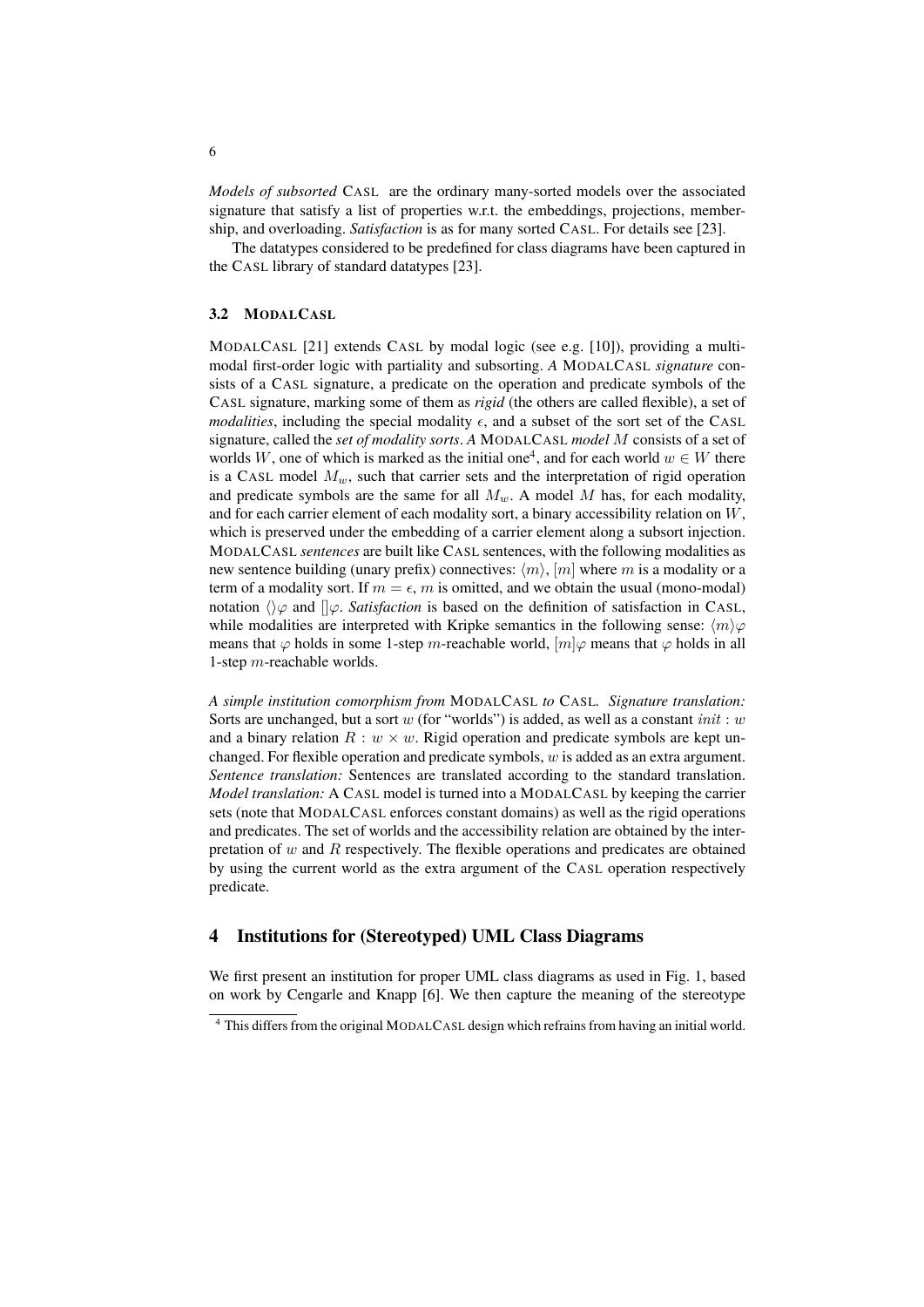*Models of subsorted* CASL are the ordinary many-sorted models over the associated signature that satisfy a list of properties w.r.t. the embeddings, projections, membership, and overloading. *Satisfaction* is as for many sorted CASL. For details see [23].

The datatypes considered to be predefined for class diagrams have been captured in the CASL library of standard datatypes [23].

## 3.2 MODALCASL

MODALCASL [21] extends CASL by modal logic (see e.g. [10]), providing a multimodal first-order logic with partiality and subsorting. *A* MODALCASL *signature* consists of a CASL signature, a predicate on the operation and predicate symbols of the CASL signature, marking some of them as *rigid* (the others are called flexible), a set of *modalities*, including the special modality  $\epsilon$ , and a subset of the sort set of the CASL signature, called the *set of modality sorts*. *A* MODALCASL *model M* consists of a set of worlds *W*, one of which is marked as the initial one<sup>4</sup>, and for each world  $w \in W$  there is a CASL model  $M_w$ , such that carrier sets and the interpretation of rigid operation and predicate symbols are the same for all  $M_w$ . A model M has, for each modality, and for each carrier element of each modality sort, a binary accessibility relation on *W*, which is preserved under the embedding of a carrier element along a subsort injection. MODALCASL *sentences* are built like CASL sentences, with the following modalities as new sentence building (unary prefix) connectives:  $\langle m \rangle$ ,  $[m]$  where *m* is a modality or a term of a modality sort. If  $m = \epsilon$ , m is omitted, and we obtain the usual (mono-modal) notation  $\langle \rangle\varphi$  and  $\langle \varphi \rangle$ . *Satisfaction* is based on the definition of satisfaction in CASL, while modalities are interpreted with Kripke semantics in the following sense:  $\langle m \rangle \varphi$ means that  $\varphi$  holds in some 1-step *m*-reachable world,  $[m]\varphi$  means that  $\varphi$  holds in all 1-step *m*-reachable worlds.

*A simple institution comorphism from* MODALCASL *to* CASL*. Signature translation:* Sorts are unchanged, but a sort *w* (for "worlds") is added, as well as a constant *init* : *w* and a binary relation  $R : w \times w$ . Rigid operation and predicate symbols are kept unchanged. For flexible operation and predicate symbols, *w* is added as an extra argument. *Sentence translation:* Sentences are translated according to the standard translation. *Model translation:* A CASL model is turned into a MODALCASL by keeping the carrier sets (note that MODALCASL enforces constant domains) as well as the rigid operations and predicates. The set of worlds and the accessibility relation are obtained by the interpretation of *w* and *R* respectively. The flexible operations and predicates are obtained by using the current world as the extra argument of the CASL operation respectively predicate.

## 4 Institutions for (Stereotyped) UML Class Diagrams

We first present an institution for proper UML class diagrams as used in Fig. 1, based on work by Cengarle and Knapp [6]. We then capture the meaning of the stereotype

<sup>&</sup>lt;sup>4</sup> This differs from the original MODALCASL design which refrains from having an initial world.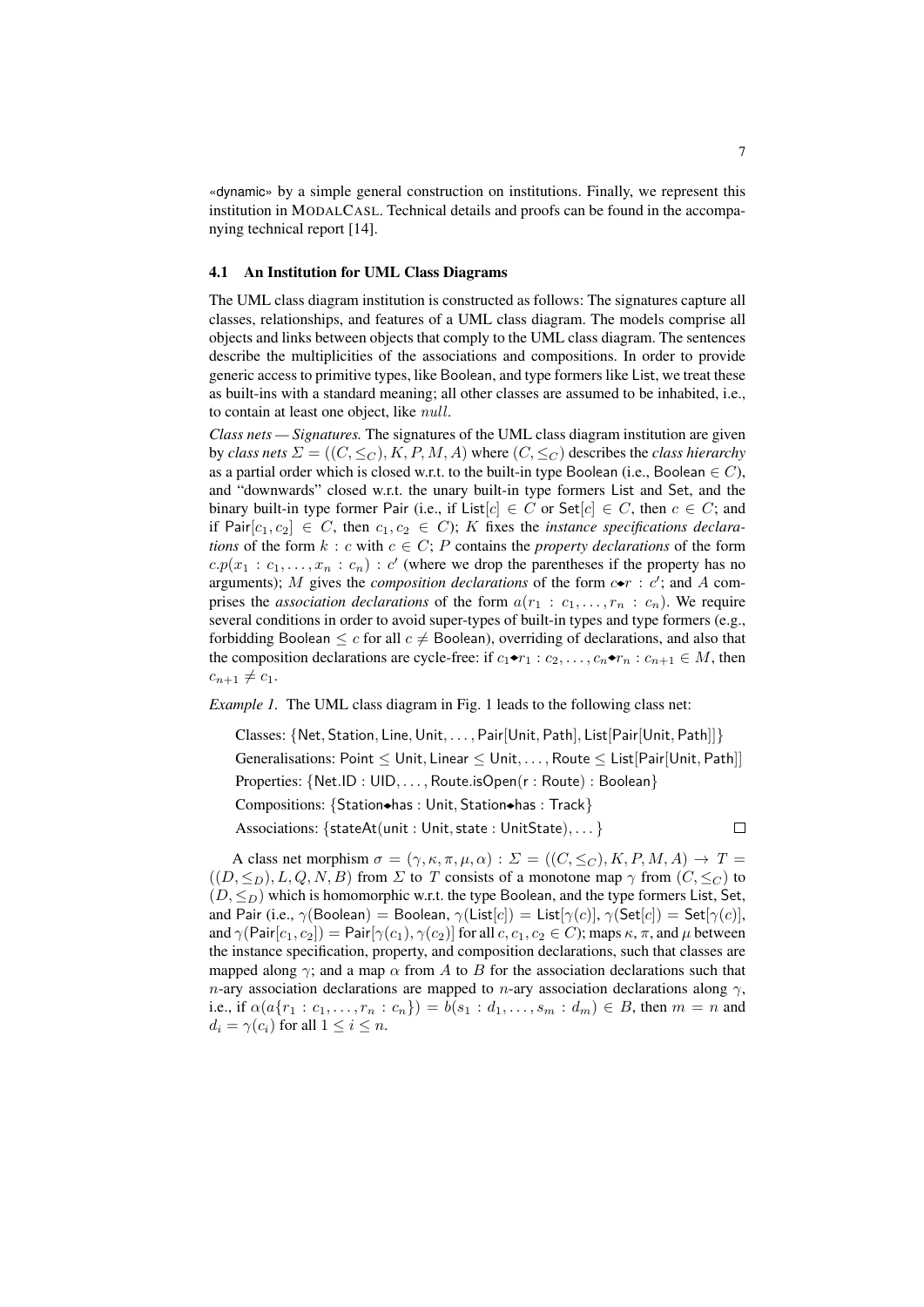«dynamic» by a simple general construction on institutions. Finally, we represent this institution in MODALCASL. Technical details and proofs can be found in the accompanying technical report [14].

#### 4.1 An Institution for UML Class Diagrams

The UML class diagram institution is constructed as follows: The signatures capture all classes, relationships, and features of a UML class diagram. The models comprise all objects and links between objects that comply to the UML class diagram. The sentences describe the multiplicities of the associations and compositions. In order to provide generic access to primitive types, like Boolean, and type formers like List, we treat these as built-ins with a standard meaning; all other classes are assumed to be inhabited, i.e., to contain at least one object, like *null*.

*Class nets — Signatures.* The signatures of the UML class diagram institution are given by *class nets*  $\Sigma = ((C, \leq_C), K, P, M, A)$  where  $(C, \leq_C)$  describes the *class hierarchy* as a partial order which is closed w.r.t. to the built-in type Boolean (i.e., Boolean  $\in C$ ), and "downwards" closed w.r.t. the unary built-in type formers List and Set, and the binary built-in type former Pair (i.e., if List $[c] \in C$  or Set $[c] \in C$ , then  $c \in C$ ; and if  $Pair[c_1, c_2] \in C$ , then  $c_1, c_2 \in C$ ); *K* fixes the *instance specifications declarations* of the form  $k : c$  with  $c \in C$ ; *P* contains the *property declarations* of the form  $c.p(x_1 : c_1, \ldots, x_n : c_n) : c'$  (where we drop the parentheses if the property has no arguments); M gives the *composition declarations* of the form  $c \cdot r : c'$ ; and A comprises the *association declarations* of the form  $a(r_1 : c_1, \ldots, r_n : c_n)$ . We require several conditions in order to avoid super-types of built-in types and type formers (e.g., forbidding Boolean  $\leq c$  for all  $c \neq$  Boolean), overriding of declarations, and also that the composition declarations are cycle-free: if  $c_1 \cdot r_1 : c_2, \ldots, c_n \cdot r_n : c_{n+1} \in M$ , then  $c_{n+1} \neq c_1$ .

*Example 1.* The UML class diagram in Fig. 1 leads to the following class net:

Classes: {Net*,* Station*,* Line*,*Unit*, . . . ,* Pair[Unit*,* Path]*,* List[Pair[Unit*,* Path]]} Generalisations: Point ≤ Unit*,* Linear ≤ Unit*, . . . ,* Route ≤ List[Pair[Unit*,* Path]] Properties: {Net*.*ID : UID*, . . . ,* Route*.*isOpen(r : Route) : Boolean} Compositions: {Station·has : Unit, Station·has : Track} Associations: {stateAt(unit : Unit*,*state : UnitState)*, . . .* }  $\Box$ 

A class net morphism  $\sigma = (\gamma, \kappa, \pi, \mu, \alpha) : \Sigma = ((C, \leq_C), K, P, M, A) \rightarrow T$  $((D, \leq_D), L, Q, N, B)$  from  $\Sigma$  to  $T$  consists of a monotone map  $\gamma$  from  $(C, \leq_C)$  to  $(D, \leq_D)$  which is homomorphic w.r.t. the type Boolean, and the type formers List, Set, and Pair (i.e.,  $\gamma$ (Boolean) = Boolean,  $\gamma$ (List[*c*]) = List[ $\gamma$ (*c*)],  $\gamma$ (Set[*c*]) = Set[ $\gamma$ (*c*)], and  $\gamma$ (Pair $[c_1, c_2]$ ) = Pair $[\gamma(c_1), \gamma(c_2)]$  for all  $c, c_1, c_2 \in C$ ); maps  $\kappa$ ,  $\pi$ , and  $\mu$  between the instance specification, property, and composition declarations, such that classes are mapped along  $\gamma$ ; and a map  $\alpha$  from A to B for the association declarations such that *n*-ary association declarations are mapped to *n*-ary association declarations along *γ*, i.e., if  $\alpha(a\{r_1 : c_1, \ldots, r_n : c_n\}) = b(s_1 : d_1, \ldots, s_m : d_m) \in B$ , then  $m = n$  and  $d_i = \gamma(c_i)$  for all  $1 \leq i \leq n$ .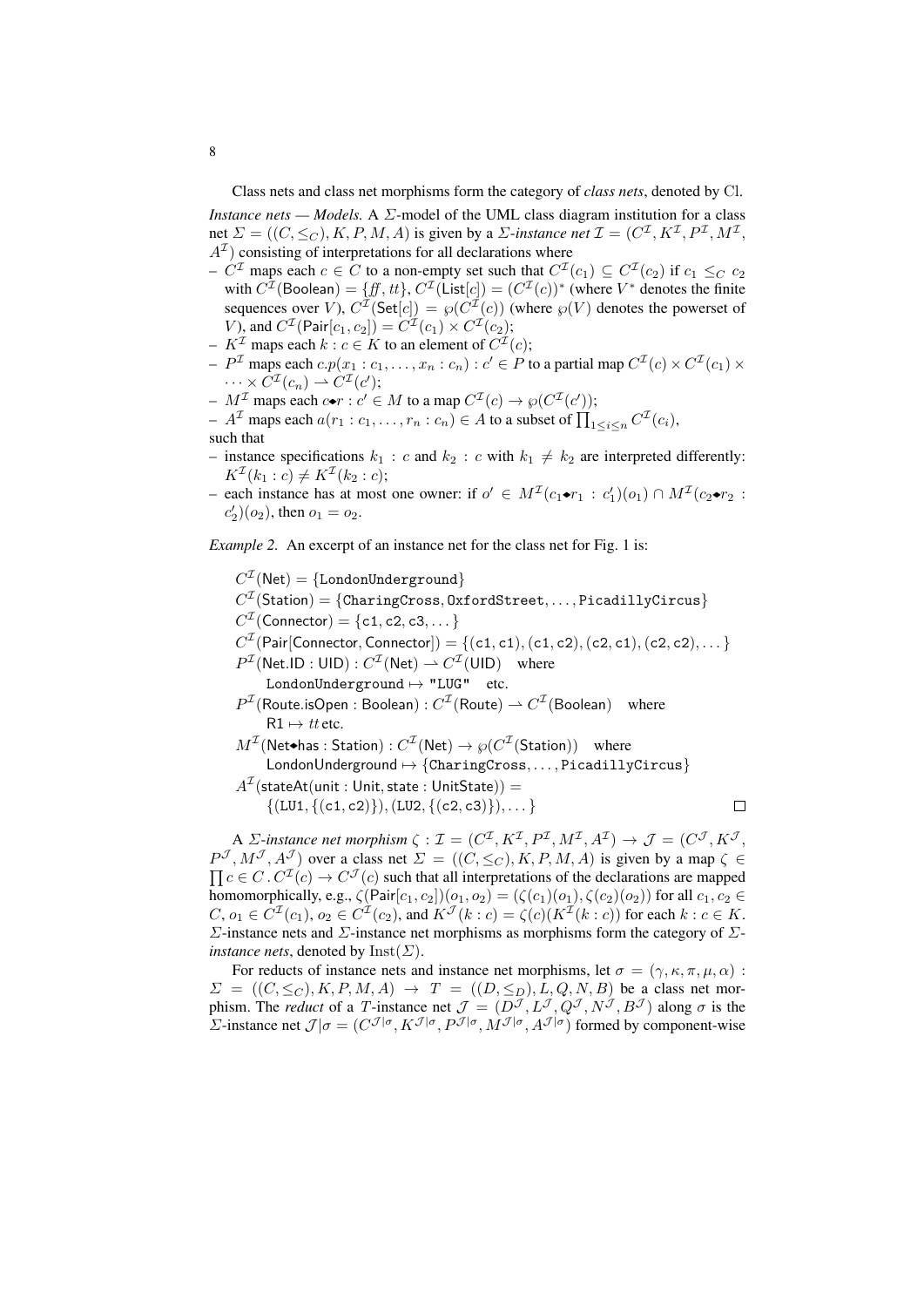Class nets and class net morphisms form the category of *class nets*, denoted by Cl. *Instance nets — Models.* A Σ-model of the UML class diagram institution for a class net  $\Sigma = ((C, \leq_C), K, P, M, A)$  is given by a *Σ*-*instance net*  $\mathcal{I} = (C^{\mathcal{I}}, K^{\mathcal{I}}, P^{\mathcal{I}}, M^{\mathcal{I}},$  $A<sup>\mathcal{I}</sup>$ ) consisting of interpretations for all declarations where

- $-C^{I}$  maps each *c* ∈ *C* to a non-empty set such that  $C^{I}(c_1) ⊆ C^{I}(c_2)$  if  $c_1 ≤_C c_2$ with  $C^{\mathcal{I}}$  (Boolean) = { $f\!f, t\}$ ,  $C^{\mathcal{I}}$  (List $[c]$ ) =  $(C^{\mathcal{I}}(c))^*$  (where  $V^*$  denotes the finite sequences over *V*),  $C^{\mathcal{I}}(\mathsf{Set}[c]) = \wp(C^{\mathcal{I}}(c))$  (where  $\wp(V)$  denotes the powerset of *V*), and  $C^{\mathcal{I}}$  (Pair $[c_1, c_2]$ ) =  $C^{\mathcal{I}}(c_1) \times C^{\mathcal{I}}(c_2)$ ;
- −  $K^{\mathcal{I}}$  maps each  $k : c \in K$  to an element of  $C^{\mathcal{I}}(c)$ ;
- $P^{\mathcal I}$  maps each  $c.p(x_1:c_1,\ldots,x_n:c_n):c'\in P$  to a partial map  $C^{\mathcal I}(c)\times C^{\mathcal I}(c_1)\times P$  $\cdots \times C^{\mathcal{I}}(c_n) \rightharpoonup C^{\mathcal{I}}(c');$
- *−*  $M^{\mathcal{I}}$  maps each  $c \bullet r : c' \in M$  to a map  $C^{\mathcal{I}}(c) \to \wp(C^{\mathcal{I}}(c'))$ ;
- *−*  $A^{\mathcal{I}}$  maps each  $a(r_1 : c_1, \ldots, r_n : c_n) \in A$  to a subset of  $\prod_{1 \leq i \leq n} C^{\mathcal{I}}(c_i)$ , such that
- instance specifications  $k_1 : c$  and  $k_2 : c$  with  $k_1 \neq k_2$  are interpreted differently:  $K^{\mathcal{I}}(k_1 : c) \neq K^{\mathcal{I}}(k_2 : c);$
- − each instance has at most one owner: if  $o' \in M^{\mathcal{I}}(c_1 \bullet r_1 : c'_1)(o_1) \cap M^{\mathcal{I}}(c_2 \bullet r_2 : c'_2)(o_2)$  $c_2'$  $(o_2)$ , then  $o_1 = o_2$ .

*Example 2.* An excerpt of an instance net for the class net for Fig. 1 is:

 $C^\mathcal{I}(\mathsf{Net}) = \{\texttt{LondonUnderground}\}$  $C^\mathcal{I}(\mathsf{Station}) = \{\mathsf{CharingCross}, \mathsf{Oxford Street}, \dots, \mathsf{PicadillyCircus}\}$  $C^{\mathcal{I}}(\mathsf{Connector}) = \{\texttt{c1}, \texttt{c2}, \texttt{c3}, \dots\}$  $C^{\mathcal{I}}(\mathsf{Pair}[\mathsf{Connector}, \mathsf{Connector}]) = \{(\texttt{c1}, \texttt{c1}), (\texttt{c1}, \texttt{c2}), (\texttt{c2}, \texttt{c1}), (\texttt{c2}, \texttt{c2}), \dots\}$  $P^{\mathcal I}(\mathsf{Net}.\mathsf{ID}:\mathsf{UID}):C^{\mathcal I}(\mathsf{Net})\rightharpoonup C^{\mathcal I}(\mathsf{UID})\quad\text{where}$ LondonUnderground  $\mapsto$  "LUG" etc.  $P^\mathcal{I}(\mathsf{Route.isOpen}:\mathsf{Boolean}) : C^\mathcal{I}(\mathsf{Route}) \rightharpoonup C^\mathcal{I}(\mathsf{Boolean}) \quad \text{where}$  $R1 \mapsto tt$  etc.  $M^{\mathcal I}(\mathsf{Net}\bullet\mathsf{has} : \mathsf{Station}) : C^{\mathcal I}(\mathsf{Net}) \to \wp(C^{\mathcal I}(\mathsf{Station}))$  where LondonUnderground 7→ {CharingCross*, . . . ,* PicadillyCircus}  $A^{\mathcal{I}}(\mathsf{stateAt}(\mathsf{unit} : \mathsf{Unit}, \mathsf{state} : \mathsf{UnitState})) =$ {(LU1*,* {(c1*,* c2)})*,*(LU2*,* {(c2*,* c3)})*, . . .* }  $\Box$ 

 $A \Sigma$ -instance net morphism  $\zeta : \mathcal{I} = (C^{\mathcal{I}}, K^{\mathcal{I}}, P^{\mathcal{I}}, M^{\mathcal{I}}, A^{\mathcal{I}}) \to \mathcal{J} = (C^{\mathcal{J}}, K^{\mathcal{J}}, A^{\mathcal{I}})$  $P^{\mathcal{J}}, M^{\mathcal{J}}, A^{\mathcal{J}}$ ) over a class net  $\Sigma = ((C, \leq_C), K, P, M, A)$  is given by a map  $\zeta \in$  $\prod c \in C$ .  $C^{\mathcal{I}}(c) \to C^{\mathcal{J}}(c)$  such that all interpretations of the declarations are mapped homomorphically, e.g.,  $\zeta$ (Pair $[c_1, c_2]$ )( $o_1, o_2$ ) = ( $\zeta$ ( $c_1$ )( $o_1$ ),  $\zeta$ ( $c_2$ )( $o_2$ )) for all  $c_1, c_2$  ∈  $C, o_1 \in C^{\mathcal{I}}(c_1), o_2 \in C^{\mathcal{I}}(c_2)$ , and  $K^{\mathcal{J}}(k : c) = \zeta(c)(K^{\mathcal{I}}(k : c))$  for each  $k : c \in K$ . *Σ*-instance nets and *Σ*-instance net morphisms as morphisms form the category of *Σinstance nets*, denoted by  $Inst(\Sigma)$ .

For reducts of instance nets and instance net morphisms, let  $\sigma = (\gamma, \kappa, \pi, \mu, \alpha)$ :  $\Sigma = ((C, \leq_C), K, P, M, A) \rightarrow T = ((D, \leq_D), L, Q, N, B)$  be a class net morphism. The *reduct* of a *T*-instance net  $\mathcal{J} = (D^{\mathcal{J}}, L^{\mathcal{J}}, Q^{\mathcal{J}}, N^{\mathcal{J}}, B^{\mathcal{J}})$  along  $\sigma$  is the *Σ*-instance net  $\mathcal{J}|\sigma = (C^{\mathcal{J}|\sigma}, K^{\mathcal{J}|\sigma}, P^{\mathcal{J}|\sigma}, M^{\mathcal{J}|\sigma}, A^{\mathcal{J}|\sigma})$  formed by component-wise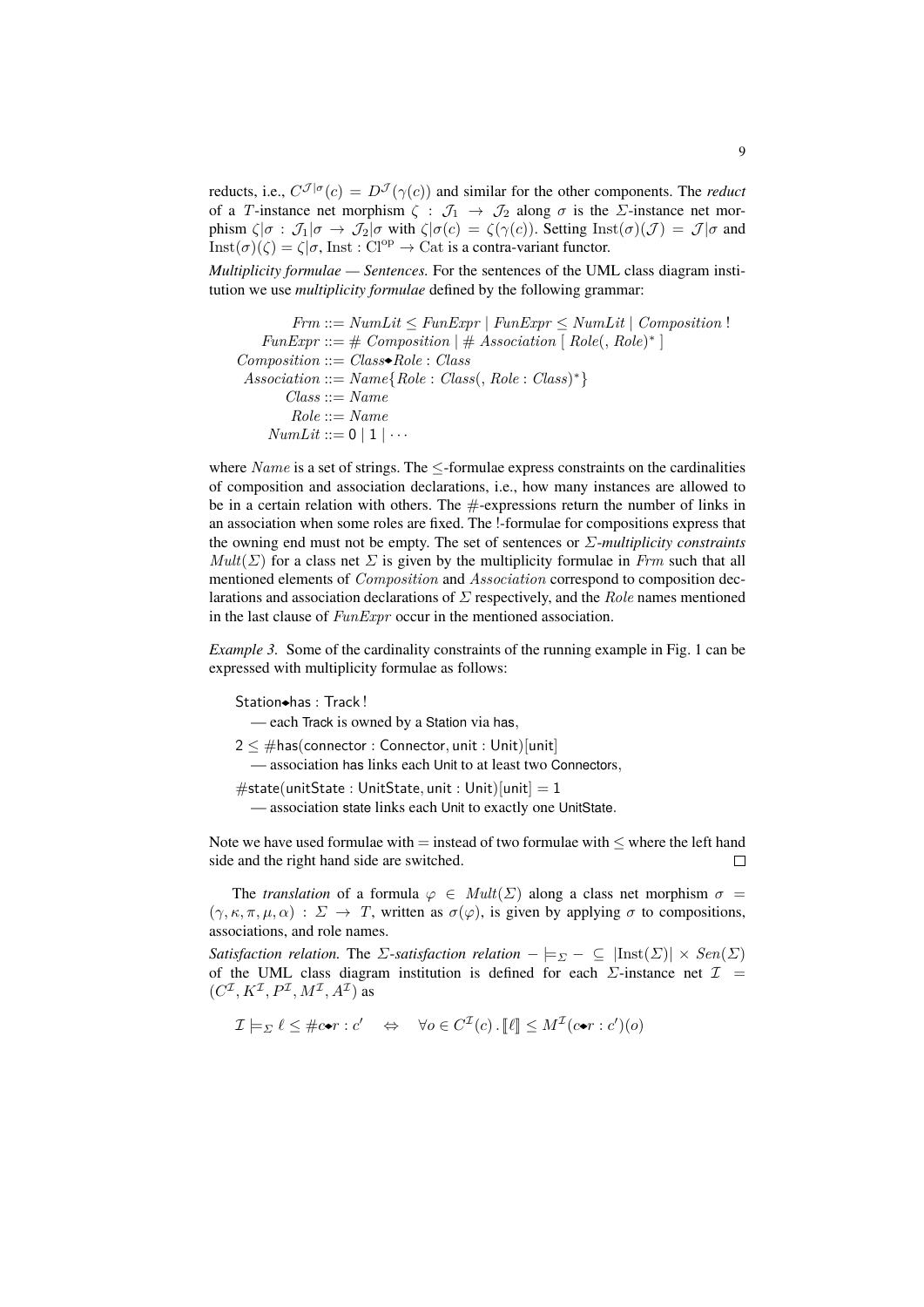reducts, i.e.,  $C^{\mathcal{J}|\sigma}(c) = D^{\mathcal{J}}(\gamma(c))$  and similar for the other components. The *reduct* of a *T*-instance net morphism  $\zeta : \mathcal{J}_1 \to \mathcal{J}_2$  along  $\sigma$  is the *Σ*-instance net morphism  $\zeta|\sigma : \mathcal{J}_1|\sigma \to \mathcal{J}_2|\sigma$  with  $\zeta|\sigma(c) = \zeta(\gamma(c))$ . Setting Inst $(\sigma)(\mathcal{J}) = \mathcal{J}|\sigma$  and  $\text{Inst}(\sigma)(\zeta) = \zeta|\sigma, \text{Inst}: Cl^{op} \to \text{Cat}$  is a contra-variant functor.

*Multiplicity formulae — Sentences.* For the sentences of the UML class diagram institution we use *multiplicity formulae* defined by the following grammar:

 $Frm ::= NumList \leq FunExpr \mid FunExpr \leq NumLit \mid Composition!$  $Funexpr ::= # Composition \mid # Association \mid (Role(, Role)^*)$ *Composition* ::= *Class Role* : *Class*  $Association ::= Name\{Role : Class(, Role : Class)^* \}$ *Class* ::= *Name Role* ::= *Name*  $NumLit ::= 0 | 1 | \cdots$ 

where *Name* is a set of strings. The <-formulae express constraints on the cardinalities of composition and association declarations, i.e., how many instances are allowed to be in a certain relation with others. The  $#$ -expressions return the number of links in an association when some roles are fixed. The !-formulae for compositions express that the owning end must not be empty. The set of sentences or *Σ*-*multiplicity constraints Mult*( $\Sigma$ ) for a class net  $\Sigma$  is given by the multiplicity formulae in *Frm* such that all mentioned elements of *Composition* and *Association* correspond to composition declarations and association declarations of *Σ* respectively, and the *Role* names mentioned in the last clause of *FunExpr* occur in the mentioned association.

*Example 3.* Some of the cardinality constraints of the running example in Fig. 1 can be expressed with multiplicity formulae as follows:

Station+has : Track !

— each Track is owned by a Station via has*,*

2 ≤ #has(connector : Connector*,* unit : Unit)[unit]

— association has links each Unit to at least two Connectors*,*

#state(unitState : UnitState*,* unit : Unit)[unit] = 1

— association state links each Unit to exactly one UnitState*.*

Note we have used formulae with  $=$  instead of two formulae with  $\leq$  where the left hand side and the right hand side are switched.  $\Box$ 

The *translation* of a formula  $\varphi \in Mult(\Sigma)$  along a class net morphism  $\sigma =$  $(\gamma, \kappa, \pi, \mu, \alpha) : \Sigma \to T$ , written as  $\sigma(\varphi)$ , is given by applying  $\sigma$  to compositions, associations, and role names.

*Satisfaction relation.* The *Σ*-*satisfaction relation*  $-\models_{\Sigma} - \subseteq |\text{Inst}(\Sigma)| \times Sen(\Sigma)$ of the UML class diagram institution is defined for each  $\Sigma$ -instance net  $\mathcal{I}$  =  $(C^{\mathcal{I}}, K^{\mathcal{I}}, P^{\mathcal{I}}, M^{\mathcal{I}}, A^{\mathcal{I}})$  as

$$
\mathcal{I} \models_{\Sigma} \ell \leq \#\mathit{c}\bullet r : c' \Leftrightarrow \forall o \in C^{\mathcal{I}}(c) \cdot [\![\ell]\!] \leq M^{\mathcal{I}}(c\bullet r : c')(o)
$$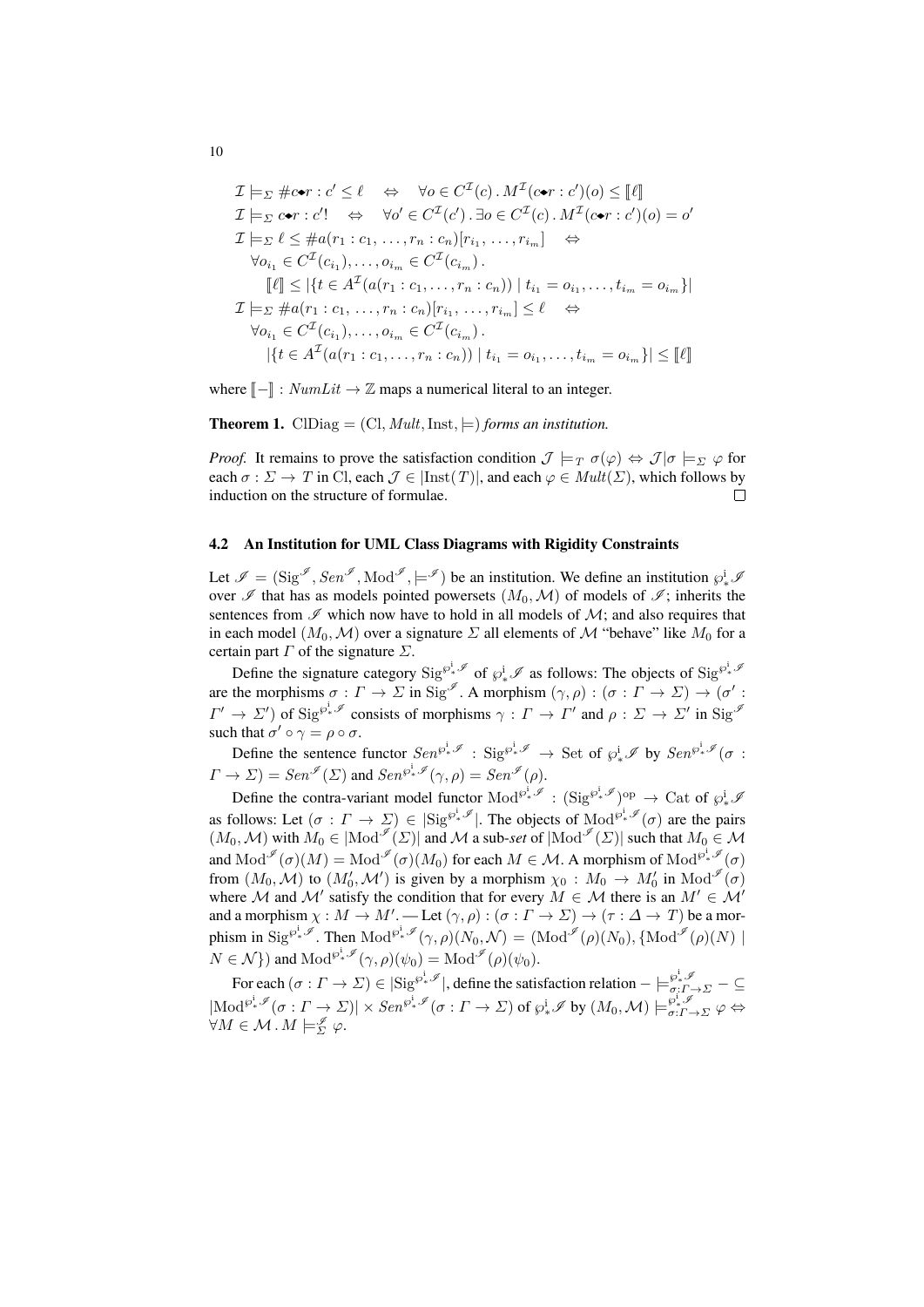$$
\mathcal{I} \models_{\Sigma} \# \mathbf{c} \bullet \mathbf{r} : c' \leq \ell \Leftrightarrow \forall o \in C^{\mathcal{I}}(c) \cdot M^{\mathcal{I}}(c \bullet \mathbf{r} : c')(o) \leq [\ell]]
$$
\n
$$
\mathcal{I} \models_{\Sigma} c \bullet \mathbf{r} : c'! \Leftrightarrow \forall o' \in C^{\mathcal{I}}(c') \cdot \exists o \in C^{\mathcal{I}}(c) \cdot M^{\mathcal{I}}(c \bullet \mathbf{r} : c')(o) = o'
$$
\n
$$
\mathcal{I} \models_{\Sigma} \ell \leq \#a(r_1 : c_1, \ldots, r_n : c_n)[r_{i_1}, \ldots, r_{i_m}] \Leftrightarrow
$$
\n
$$
\forall o_{i_1} \in C^{\mathcal{I}}(c_{i_1}), \ldots, o_{i_m} \in C^{\mathcal{I}}(c_{i_m}).
$$
\n
$$
[\ell] \leq |\{t \in A^{\mathcal{I}}(a(r_1 : c_1, \ldots, r_n : c_n)) | t_{i_1} = o_{i_1}, \ldots, t_{i_m} = o_{i_m} \}|
$$
\n
$$
\mathcal{I} \models_{\Sigma} \#a(r_1 : c_1, \ldots, r_n : c_n)[r_{i_1}, \ldots, r_{i_m}] \leq \ell \Leftrightarrow
$$
\n
$$
\forall o_{i_1} \in C^{\mathcal{I}}(c_{i_1}), \ldots, o_{i_m} \in C^{\mathcal{I}}(c_{i_m}).
$$
\n
$$
|\{t \in A^{\mathcal{I}}(a(r_1 : c_1, \ldots, r_n : c_n)) | t_{i_1} = o_{i_1}, \ldots, t_{i_m} = o_{i_m}\}| \leq [\ell]
$$

where  $\llbracket - \rrbracket$  : *NumLit*  $\rightarrow \mathbb{Z}$  maps a numerical literal to an integer.

**Theorem 1.** ClDiag = (Cl, *Mult*, Inst,  $\models$ ) *forms an institution.* 

*Proof.* It remains to prove the satisfaction condition  $\mathcal{J} \models_T \sigma(\varphi) \Leftrightarrow \mathcal{J} \models \bot \varphi$  for each  $\sigma : \Sigma \to T$  in Cl, each  $\mathcal{J} \in |{\rm Inst}(T)|$ , and each  $\varphi \in Mult(\Sigma)$ , which follows by induction on the structure of formulae.  $\Box$ 

#### 4.2 An Institution for UML Class Diagrams with Rigidity Constraints

Let  $\mathscr{I} = (\text{Sig}^{\mathscr{I}}, \text{Sen}^{\mathscr{I}}, \text{Mod}^{\mathscr{I}}, \models^{\mathscr{I}})$  be an institution. We define an institution  $\wp^i_* \mathscr{I}$ over  $\mathscr I$  that has as models pointed powersets  $(M_0, \mathcal M)$  of models of  $\mathscr I$ ; inherits the sentences from  $\mathscr I$  which now have to hold in all models of  $\mathcal M$ ; and also requires that in each model  $(M_0, \mathcal{M})$  over a signature  $\Sigma$  all elements of  $\mathcal{M}$  "behave" like  $M_0$  for a certain part *Γ* of the signature *Σ*.

Define the signature category Sig<sup> $\wp^i_*\mathscr{I}$  of  $\wp^i_*\mathscr{I}$  as follows: The objects of Sig<sup> $\wp^i_*\mathscr{I}$ </sup></sup> are the morphisms  $\sigma: \Gamma \to \Sigma$  in Sig<sup>I</sup>. A morphism  $(\gamma, \rho): (\sigma: \Gamma \to \Sigma) \to (\sigma':$  $\Gamma' \to \Sigma'$ ) of Sig<sup>β<sub>\*</sub>g'</sup> consists of morphisms  $\gamma : \Gamma \to \Gamma'$  and  $\rho : \Sigma \to \Sigma'$  in Sig<sup>gg</sup> such that  $\sigma' \circ \gamma = \rho \circ \sigma$ .

Define the sentence functor  $Sen^{\wp^i_*\mathscr{I}} : \text{Sig}^{\wp^i_*\mathscr{I}} \to \text{Set of } \wp^i_*\mathscr{I}$  by  $Sen^{\wp^i_*\mathscr{I}}(\sigma :$  $(\Gamma \to \Sigma) = \text{Sen}^{\mathscr{I}}(\Sigma)$  and  $\text{Sen}^{\wp^i_*\mathscr{I}}(\gamma,\rho) = \text{Sen}^{\mathscr{I}}(\rho).$ 

Define the contra-variant model functor  $Mod^{S^i*}$  :  $(Sig^{S^i*}$ <sup>*i*</sup> ( $)$ <sup>op</sup>  $\rightarrow$  Cat of  $\wp^i_*$  *P* as follows: Let  $(\sigma : \Gamma \to \Sigma) \in |\text{Sig}^{\wp^i_* \mathscr{I}}|$ . The objects of  $\text{Mod}^{\wp^i_* \mathscr{I}}(\sigma)$  are the pairs  $(M_0, \mathcal{M})$  with  $M_0 \in |\text{Mod}^{\mathscr{I}}(\Sigma)|$  and  $\mathcal M$  a sub-*set* of  $|\text{Mod}^{\mathscr{I}}(\Sigma)|$  such that  $M_0 \in \mathcal M$ and  $\text{Mod}^{\mathscr{I}}(\sigma)(M) = \text{Mod}^{\mathscr{I}}(\sigma)(M_0)$  for each  $M \in \mathcal{M}$ . A morphism of  $\text{Mod}^{\wp^i_*\mathscr{I}}(\sigma)$ from  $(M_0, \mathcal{M})$  to  $(M'_0, \mathcal{M}')$  is given by a morphism  $\chi_0 : M_0 \to M'_0$  in  $\text{Mod}^{\mathscr{I}}(\sigma)$ where *M* and *M'* satisfy the condition that for every  $M \in \mathcal{M}$  there is an  $M' \in \mathcal{M}'$ and a morphism  $\chi : M \to M'$ . — Let  $(\gamma, \rho) : (\sigma : \Gamma \to \Sigma) \to (\tau : \Delta \to T)$  be a morphism in  $\text{Sig}^{\wp^i_*\mathscr{I}}$ . Then  $\text{Mod}^{\wp^i_*\mathscr{I}}(\gamma,\rho)(N_0,\mathcal{N}) = (\text{Mod}^{\mathscr{I}}(\rho)(N_0), \{\text{Mod}^{\mathscr{I}}(\rho)(N) \mid$  $N \in \mathcal{N}$ }) and  $\text{Mod}^{\wp^i_*\mathscr{I}}(\gamma, \rho)(\psi_0) = \text{Mod}^{\mathscr{I}}(\rho)(\psi_0)$ .

For each  $(\sigma: \Gamma \to \Sigma) \in |\mathrm{Sig}^{\wp^i_\ast \mathscr{I}}|,$  define the satisfaction relation  $- \models_{\sigma: \Gamma \to \Sigma}^{\wp^i_\ast \mathscr{I}} - \subseteq$  $|\mathrm{Mod}^{\wp^i_*\mathscr{I}}(\sigma : \Gamma \to \Sigma)| \times \mathit{Sen}^{\wp^i_*\mathscr{I}}(\sigma : \Gamma \to \Sigma) \text{ of } \wp^i_*\mathscr{I} \text{ by } (M_0, \mathcal{M}) \models^{\wp^i_*\mathscr{I}}_{\sigma : \Gamma \to \Sigma} \varphi \Leftrightarrow$  $\forall M \in \mathcal{M} \cdot M \models^{\mathscr{I}}_{\Sigma} \varphi.$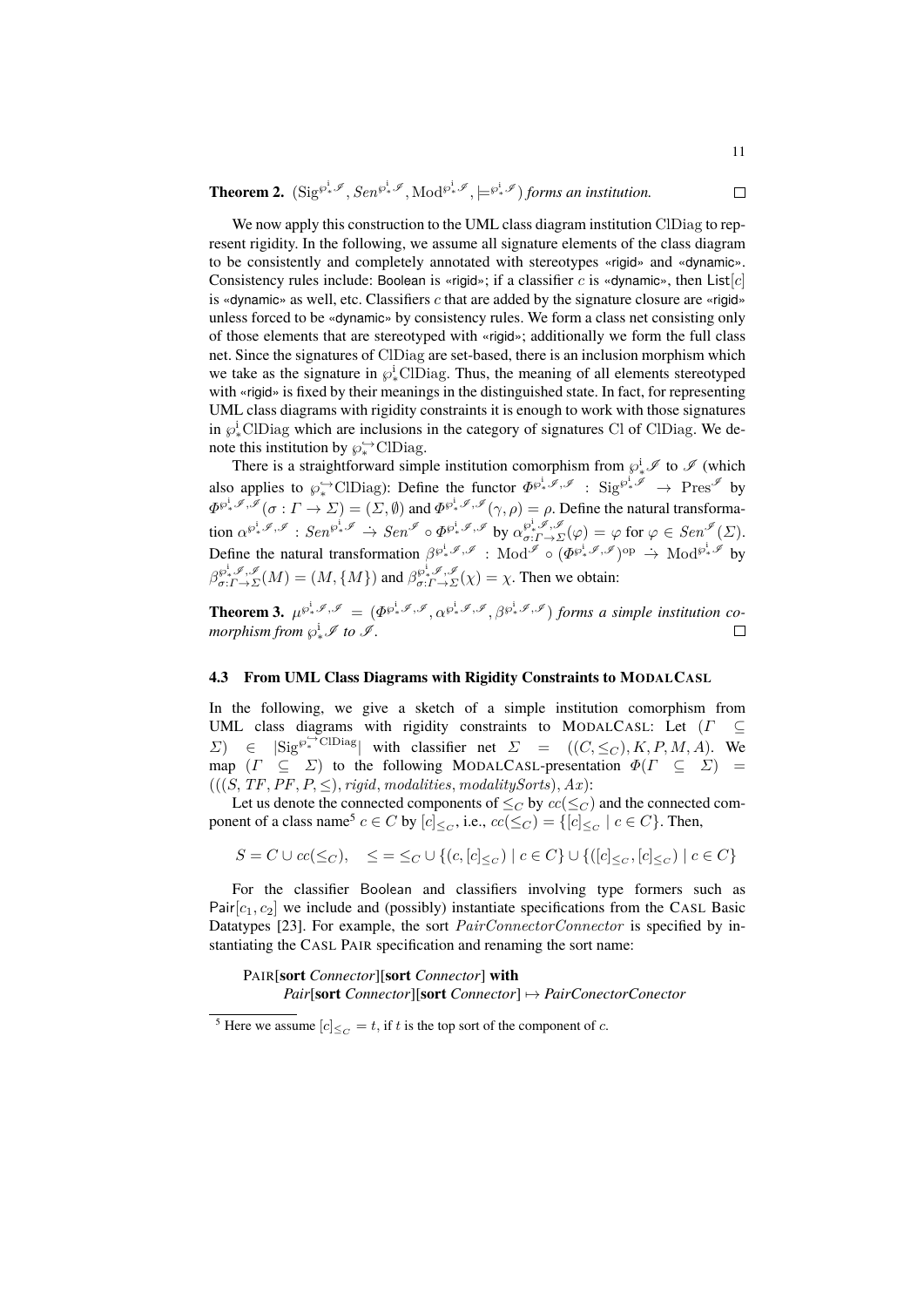**Theorem 2.**  $(\text{Sig}^{\wp^i_*\mathscr{I}}, \text{Sen}^{\wp^i_*\mathscr{I}}, \text{Mod}^{\wp^i_*\mathscr{I}}, \models^{\wp^i_*\mathscr{I}})$  *forms an institution.*  $\Box$ 

We now apply this construction to the UML class diagram institution ClDiag to represent rigidity. In the following, we assume all signature elements of the class diagram to be consistently and completely annotated with stereotypes «rigid» and «dynamic». Consistency rules include: Boolean is «rigid»; if a classifier  $c$  is «dynamic», then  $List[c]$ is «dynamic» as well, etc. Classifiers *c* that are added by the signature closure are «rigid» unless forced to be «dynamic» by consistency rules. We form a class net consisting only of those elements that are stereotyped with «rigid»; additionally we form the full class net. Since the signatures of ClDiag are set-based, there is an inclusion morphism which we take as the signature in  $\wp^i_*$  ClDiag. Thus, the meaning of all elements stereotyped with «rigid» is fixed by their meanings in the distinguished state. In fact, for representing UML class diagrams with rigidity constraints it is enough to work with those signatures in  $\wp^i_*$  ClDiag which are inclusions in the category of signatures Cl of ClDiag. We denote this institution by  $\wp_*^{\hookrightarrow}$  ClDiag.

There is a straightforward simple institution comorphism from  $\wp^1_* \mathscr{I}$  to  $\mathscr{I}$  (which also applies to  $\wp_*^{\hookrightarrow}$  ClDiag): Define the functor  $\Phi^{\wp_*^i\mathscr{I},\mathscr{I}}$  : Sig<sup> $\wp_*^i\mathscr{I} \to \text{Pres}^{\mathscr{I}}$  by</sup>  $\Phi^{\wp^i_*\mathscr{I},\mathscr{I}}(\sigma:\Gamma\to\Sigma)=(\Sigma,\emptyset)$  and  $\Phi^{\wp^i_*\mathscr{I},\mathscr{I}}(\gamma,\rho)=\rho$ . Define the natural transforma- $\text{tion } \alpha^{\wp^i_*\mathscr{I},\mathscr{I}} : \text{Sen}^{\wp^i_*\mathscr{I}} \to \text{Sen}^{\mathscr{I}} \circ \Phi^{\wp^i_*\mathscr{I},\mathscr{I}} \text{ by } \alpha^{\wp^i_*\mathscr{I},\mathscr{I}}_{\sigma:\Gamma \to \Sigma}(\varphi) = \varphi \text{ for } \varphi \in \text{Sen}^{\mathscr{I}}(\Sigma).$ Define the natural transformation  $\beta^{\wp^i_*\mathscr{I},\mathscr{I}}$  : Mod<sup> $\mathscr{I} \circ (\Phi^{\wp^i_*\mathscr{I},\mathscr{I}})^{\text{op}} \to \text{Mod}^{\wp^i_*\mathscr{I}}$  by</sup>  $\beta^{\wp^i_*\mathscr{I},\mathscr{I}}_{\sigma:\Gamma\to\Sigma}(M) = (M, \{M\})$  and  $\beta^{\wp^i_*\mathscr{I},\mathscr{I}}_{\sigma:\Gamma\to\Sigma}(\chi) = \chi$ . Then we obtain:

**Theorem 3.**  $\mu^{\wp^i_*\mathscr{I},\mathscr{I}} = (\Phi^{\wp^i_*\mathscr{I},\mathscr{I}}, \alpha^{\wp^i_*\mathscr{I},\mathscr{I}}, \beta^{\wp^i_*\mathscr{I},\mathscr{I}})$  forms a simple institution comorphism from  $\wp^{\text{i}}_*\mathscr{I}$  to  $\mathscr{I}.$  $\Box$ 

### 4.3 From UML Class Diagrams with Rigidity Constraints to MODALCASL

In the following, we give a sketch of a simple institution comorphism from UML class diagrams with rigidity constraints to MODALCASL: Let (*Γ* ⊆  $(\Sigma)$  ∈  $|\text{Sig}^{\wp_{\ast}^{\hookrightarrow} \text{ClDiag}}|$  with classifier net  $\Sigma$  =  $((C, \leq_C), K, P, M, A)$ . We map  $(\Gamma \subseteq \Sigma)$  to the following MODALCASL-presentation  $\Phi(\Gamma \subseteq \Sigma)$  =  $(((S, TF, PF, P, \leq), \text{rigid}, \text{modalities}, \text{modalitySorts}), Ax)$ :

Let us denote the connected components of  $\leq_C$  by  $cc(\leq_C)$  and the connected component of a class name<sup>5</sup>  $c \in C$  by  $[c]_{\leq C}$ , i.e.,  $cc(\leq C) = \{[c]_{\leq C} \mid c \in C\}$ . Then,

$$
S = C \cup cc(\leq_C), \quad \leq = \leq_C \cup \{ (c, [c]_{\leq_C}) \mid c \in C \} \cup \{ ([c]_{\leq_C}, [c]_{\leq_C}) \mid c \in C \}
$$

For the classifier Boolean and classifiers involving type formers such as  $Pair[c_1, c_2]$  we include and (possibly) instantiate specifications from the CASL Basic Datatypes [23]. For example, the sort *PairConnectorConnector* is specified by instantiating the CASL PAIR specification and renaming the sort name:

PAIR[sort *Connector*][sort *Connector*] with *Pair*[sort *Connector*][sort *Connector*] 7→ *PairConectorConector*

<sup>&</sup>lt;sup>5</sup> Here we assume  $[c]_{\leq C} = t$ , if *t* is the top sort of the component of *c*.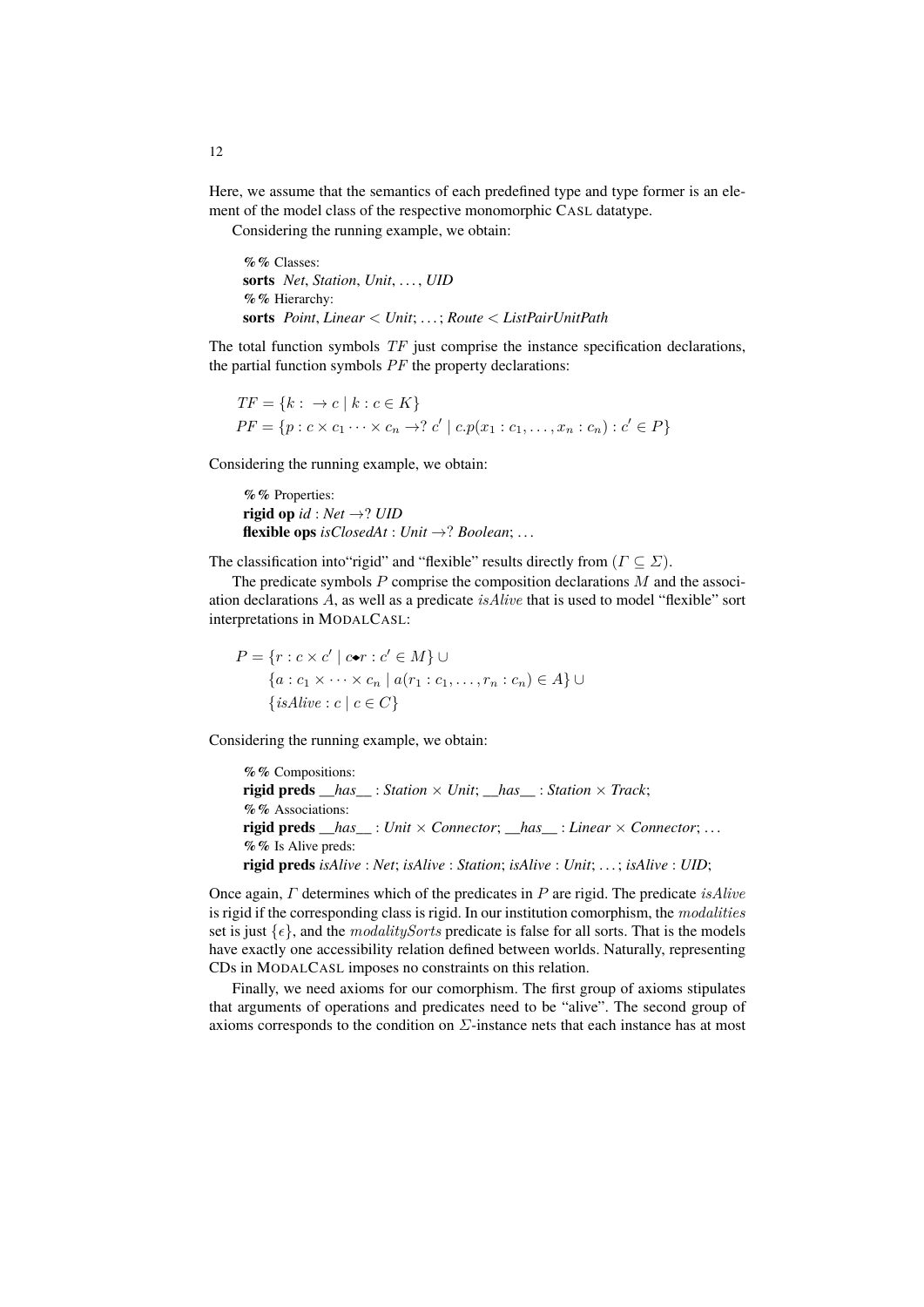Here, we assume that the semantics of each predefined type and type former is an element of the model class of the respective monomorphic CASL datatype.

Considering the running example, we obtain:

%% Classes: sorts *Net*, *Station*, *Unit*, . . . , *UID* %% Hierarchy: sorts *Point*, *Linear < Unit*; . . . ; *Route < ListPairUnitPath*

The total function symbols *TF* just comprise the instance specification declarations, the partial function symbols *PF* the property declarations:

$$
TF = \{k : \rightarrow c \mid k : c \in K\}
$$
  

$$
PF = \{p : c \times c_1 \cdots \times c_n \rightarrow ? \ c' \mid c.p(x_1 : c_1, \ldots, x_n : c_n) : c' \in P\}
$$

Considering the running example, we obtain:

%% Properties: rigid op  $id : Net \rightarrow ?$  *UID* flexible ops *isClosedAt* : *Unit* →? *Boolean*; . . .

The classification into"rigid" and "flexible" results directly from (*Γ* ⊆ *Σ*).

The predicate symbols *P* comprise the composition declarations *M* and the association declarations *A*, as well as a predicate *isAlive* that is used to model "flexible" sort interpretations in MODALCASL:

$$
P = \{r : c \times c' \mid c \bullet r : c' \in M\} \cup
$$
  

$$
\{a : c_1 \times \cdots \times c_n \mid a(r_1 : c_1, \dots, r_n : c_n) \in A\} \cup
$$
  

$$
\{isAlive : c \mid c \in C\}
$$

Considering the running example, we obtain:

```
%% Compositions:
rigid preds has : Station \times Unit; has : Station \times Track;
%% Associations:
rigid preds \_has \_ : Unit \times Connector; \_has \_ : Linear \times Connector; ...
%% Is Alive preds:
rigid preds isAlive : Net; isAlive : Station; isAlive : Unit; . . . ; isAlive : UID;
```
Once again, *Γ* determines which of the predicates in *P* are rigid. The predicate *isAlive* is rigid if the corresponding class is rigid. In our institution comorphism, the *modalities* set is just  $\{\epsilon\}$ , and the *modalitySorts* predicate is false for all sorts. That is the models have exactly one accessibility relation defined between worlds. Naturally, representing CDs in MODALCASL imposes no constraints on this relation.

Finally, we need axioms for our comorphism. The first group of axioms stipulates that arguments of operations and predicates need to be "alive". The second group of axioms corresponds to the condition on *Σ*-instance nets that each instance has at most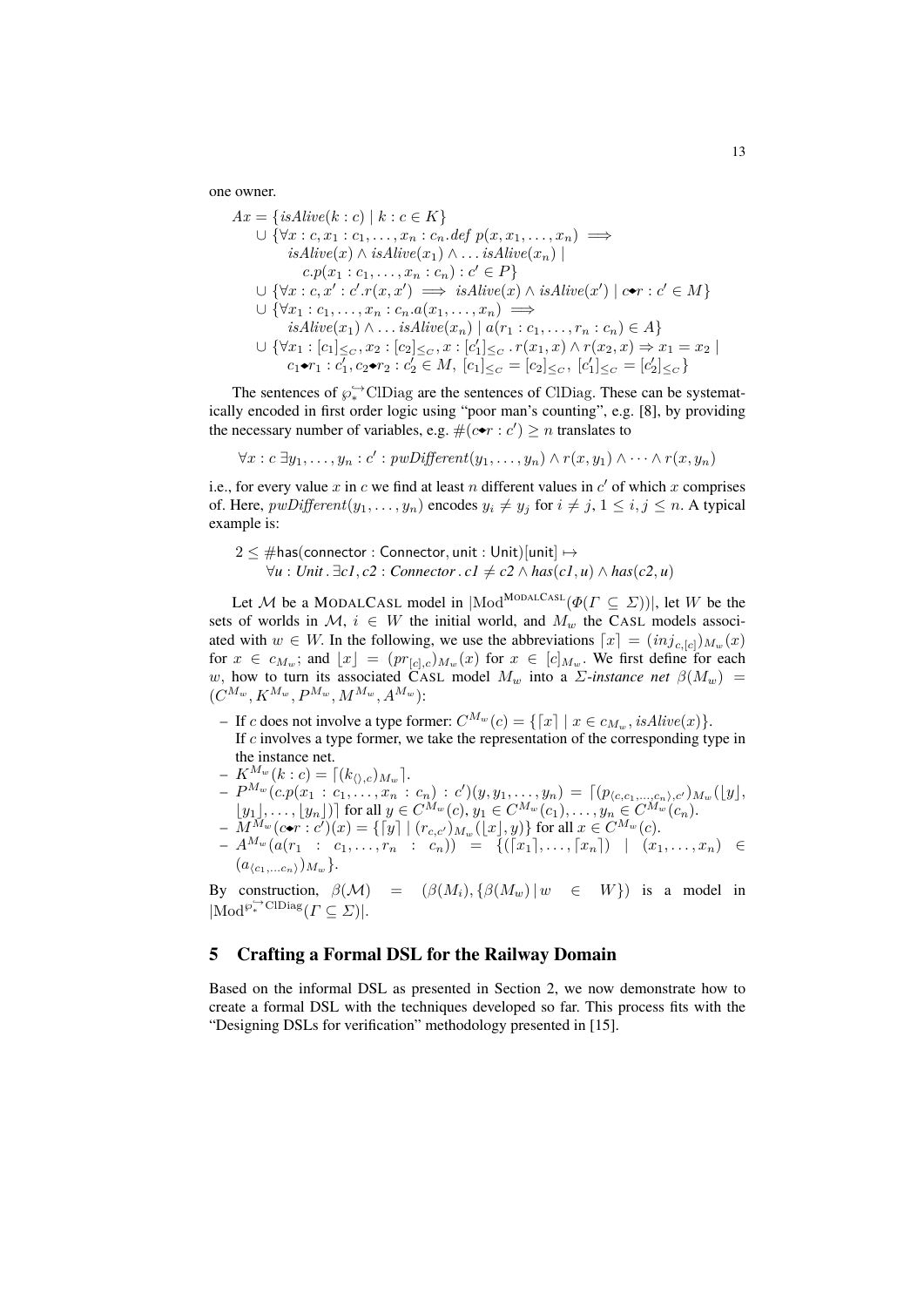one owner.

```
Ax = \{isAlive(k : c) \mid k : c \in K\}∪ {∀x : c, x1 : c1, . . . , xn : cn.def p(x, x1, . . . , xn) =⇒
             isAlive(x) ∧ isAlive(x<sub>1</sub>) ∧ . . . isAlive(x<sub>n</sub>) |
                 c.p(x_1 : c_1, \ldots, x_n : c_n) : c' \in P\cup \{ \forall x : c, x' : c'.r(x, x') \implies isAlive(x) \land isAlive(x') \mid c \bullet r : c' \in M \}∪ \{\forall x_1 : c_1, \ldots, x_n : c_n.a(x_1, \ldots, x_n) \impliesisAlive(x<sub>1</sub>) ∧ . . . isAlive(x<sub>n</sub>) | a(r_1 : c_1, ..., r_n : c_n) \in A}
      ∪ {\forall x_1 : [c_1]_{\leq C}, x_2 : [c_2]_{\leq C}, x : [c'_1]_{\leq C} \cdot r(x_1, x) \land r(x_2, x) \Rightarrow x_1 = x_2c_1 \bullet r_1 : c_1, c_2 \bullet r_2 : c_2 \in M, [c_1]_{\leq C} = [c_2]_{\leq C}, [c_1']_{\leq C} = [c_2']_{\leq C} \}
```
The sentences of  $\wp^{\hookrightarrow}_{*}$  ClDiag are the sentences of ClDiag. These can be systematically encoded in first order logic using "poor man's counting", e.g. [8], by providing the necessary number of variables, e.g.  $\#(c \bullet r : c') \geq n$  translates to

 $\forall x : c \exists y_1, \ldots, y_n : c' : p w \text{Different}(y_1, \ldots, y_n) \land r(x, y_1) \land \cdots \land r(x, y_n)$ 

i.e., for every value  $x$  in  $c$  we find at least  $n$  different values in  $c'$  of which  $x$  comprises of. Here,  $pwDifferent(y_1, \ldots, y_n)$  encodes  $y_i \neq y_j$  for  $i \neq j, 1 \leq i, j \leq n$ . A typical example is:

$$
2 \leq \text{#has}(\text{connector}: \text{Connector}, \text{unit}: \text{Unit})[\text{unit}] \mapsto
$$
  

$$
\forall u: \text{Unit. } \exists c1, c2: \text{Connector. } c1 \neq c2 \land \text{has}(c1, u) \land \text{has}(c2, u)
$$

Let *M* be a MODALCASL model in  $\text{Mod}^{\text{MODALCASL}}(\Phi(\Gamma \subseteq \Sigma))$ , let *W* be the sets of worlds in  $\mathcal{M}, i \in W$  the initial world, and  $M_w$  the CASL models associated with  $w \in W$ . In the following, we use the abbreviations  $\lceil x \rceil = (inj_{c,[c]})_{M_w}(x)$ for  $x \in c_{M_w}$ ; and  $\lfloor x \rfloor = (pr_{[c],c})_{M_w}(x)$  for  $x \in [c]_{M_w}$ . We first define for each *w*, how to turn its associated CASL model  $M_w$  into a  $\Sigma$ -*instance net*  $\beta(M_w)$  =  $(C^{M_w}, K^{M_w}, P^{M_w}, M^{M_w}, A^{M_w})$ :

- If *c* does not involve a type former:  $C^{M_w}(c) = \{ [x] | x \in c_{M_w}, \text{is}Alive(x) \}.$ If *c* involves a type former, we take the representation of the corresponding type in the instance net.
- $-K^{M_w}(k : c) = [(k_{\langle \rangle, c})_{M_w}].$
- $-P^{M_w}(c.p(x_1 : c_1, \ldots, x_n : c_n) : c')(y, y_1, \ldots, y_n) = \lceil (p_{\langle c, c_1, \ldots, c_n \rangle, c'})_{M_w}(\lfloor y \rfloor,$  $[y_1], \ldots, [y_n])$  for all  $y \in C^{M_w}(c), y_1 \in C^{M_w}(c_1), \ldots, y_n \in C^{M_w}(c_n)$ .
- $-\tilde{M}^{\tilde{M}_w}_{\mu}(c \bullet r : c^{\tilde{I}})(x) = \{ [y] \mid (r_{c,c'})_{M_w}([x], y) \}$  for all  $x \in C^{M_w}(c)$ .
- $A^{M_w}(a(r_1 : c_1, \ldots, r_n : c_n)) = \{([x_1], \ldots, [x_n]) \mid (x_1, \ldots, x_n) \in$  $(a_{\langle c_1,...,c_n \rangle})_{M_w}$ .

By construction,  $\beta(M) = (\beta(M_i), \{\beta(M_w) | w \in W\})$  is a model in  $|\text{Mod}^{\wp^{\hookrightarrow}_{*} \text{ClDiag}}(F \subseteq \Sigma)|.$ 

## 5 Crafting a Formal DSL for the Railway Domain

Based on the informal DSL as presented in Section 2, we now demonstrate how to create a formal DSL with the techniques developed so far. This process fits with the "Designing DSLs for verification" methodology presented in [15].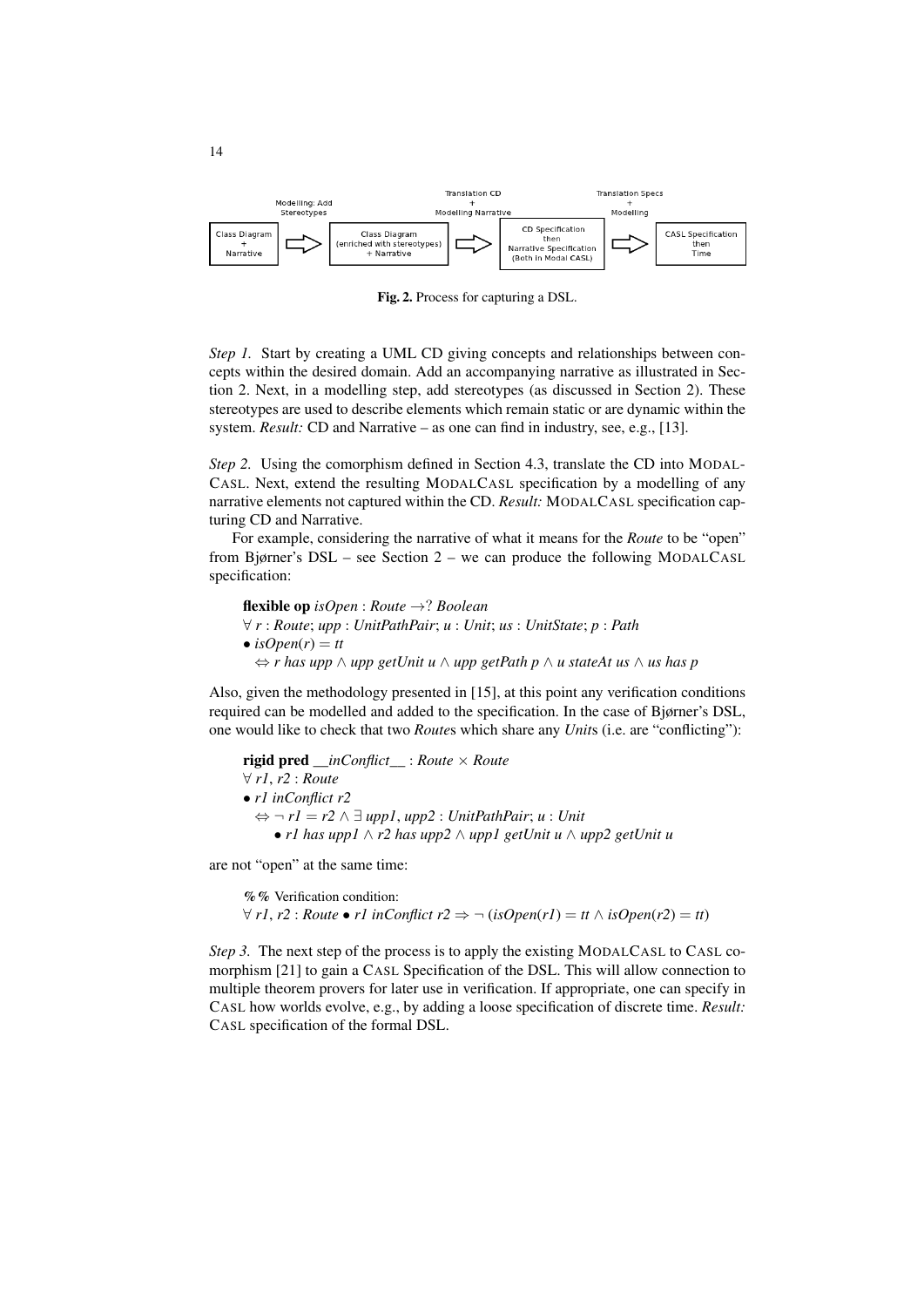

Fig. 2. Process for capturing a DSL.

*Step 1.* Start by creating a UML CD giving concepts and relationships between concepts within the desired domain. Add an accompanying narrative as illustrated in Section 2. Next, in a modelling step, add stereotypes (as discussed in Section 2). These stereotypes are used to describe elements which remain static or are dynamic within the system. *Result:* CD and Narrative – as one can find in industry, see, e.g., [13].

*Step 2.* Using the comorphism defined in Section 4.3, translate the CD into MODAL-CASL. Next, extend the resulting MODALCASL specification by a modelling of any narrative elements not captured within the CD. *Result:* MODALCASL specification capturing CD and Narrative.

For example, considering the narrative of what it means for the *Route* to be "open" from Bjørner's  $DSL$  – see Section 2 – we can produce the following MODALCASL specification:

flexible op *isOpen* : *Route* →? *Boolean* ∀ *r* : *Route*; *upp* : *UnitPathPair*; *u* : *Unit*; *us* : *UnitState*; *p* : *Path* •  $isOpen(r) = tt$ ⇔ *r has upp* ∧ *upp getUnit u* ∧ *upp getPath p* ∧ *u stateAt us* ∧ *us has p*

Also, given the methodology presented in [15], at this point any verification conditions required can be modelled and added to the specification. In the case of Bjørner's DSL, one would like to check that two *Route*s which share any *Unit*s (i.e. are "conflicting"):

rigid pred \_\_*inConflict*\_\_ : *Route* × *Route* ∀ *r1*, *r2* : *Route* • *r1 inConflict r2* ⇔ ¬ *r1* = *r2* ∧ ∃ *upp1*, *upp2* : *UnitPathPair*; *u* : *Unit* • *r1 has upp1* ∧ *r2 has upp2* ∧ *upp1 getUnit u* ∧ *upp2 getUnit u*

are not "open" at the same time:

%% Verification condition: ∀ *r1*, *r2* : *Route* • *r1 inConflict r2* ⇒ ¬ (*isOpen*(*r1*) = *tt* ∧ *isOpen*(*r2*) = *tt*)

*Step 3.* The next step of the process is to apply the existing MODALCASL to CASL comorphism [21] to gain a CASL Specification of the DSL. This will allow connection to multiple theorem provers for later use in verification. If appropriate, one can specify in CASL how worlds evolve, e.g., by adding a loose specification of discrete time. *Result:* CASL specification of the formal DSL.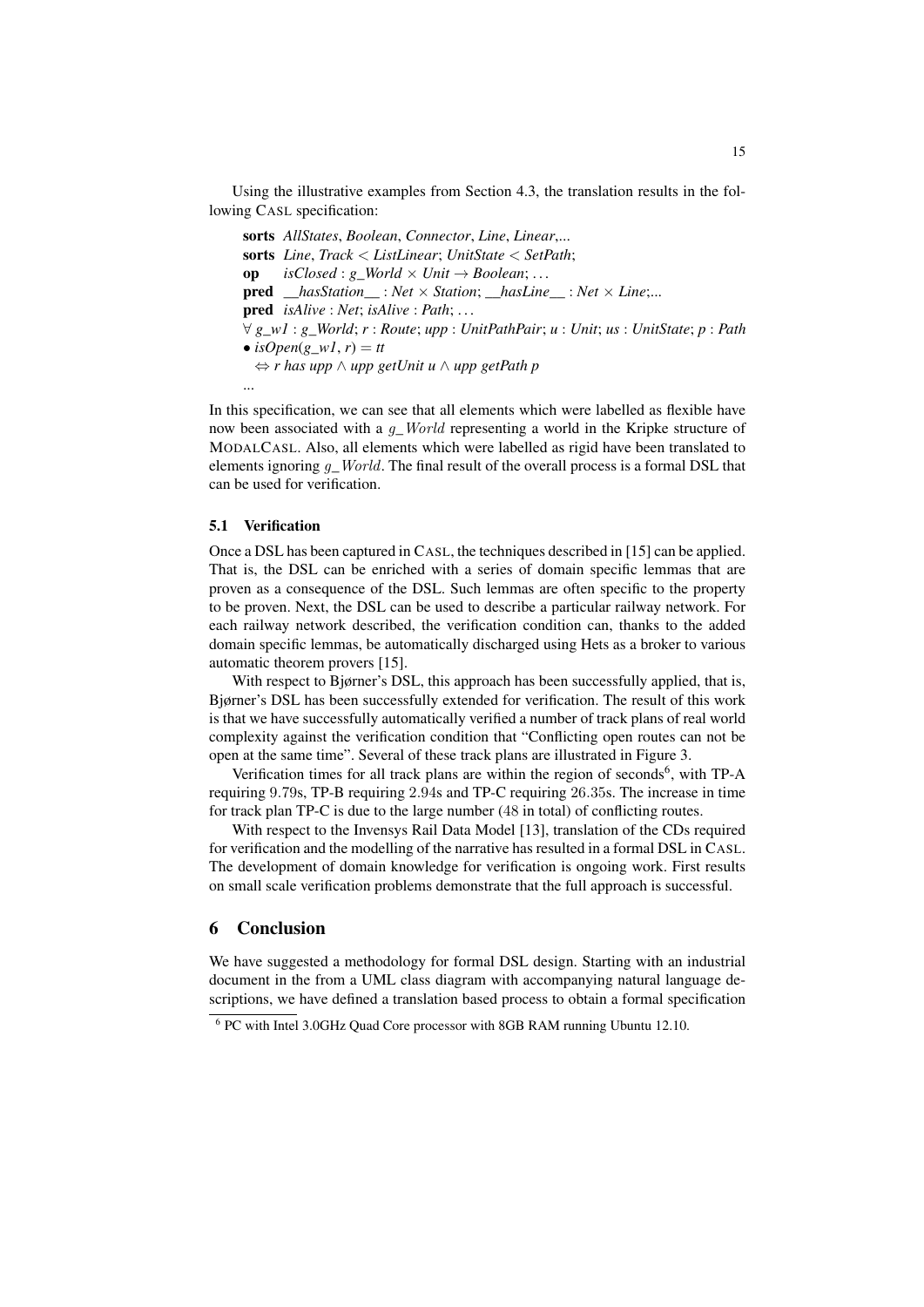Using the illustrative examples from Section 4.3, the translation results in the following CASL specification:

sorts *AllStates*, *Boolean*, *Connector*, *Line*, *Linear*,... sorts *Line*, *Track < ListLinear*; *UnitState < SetPath*; op  $isClosed : g_World \times Unit \rightarrow Boolean; ...$ pred \_\_*hasStation*\_\_ : *Net* × *Station*; \_\_*hasLine*\_\_ : *Net* × *Line*;... pred *isAlive* : *Net*; *isAlive* : *Path*; . . . ∀ *g\_w1* : *g\_World*; *r* : *Route*; *upp* : *UnitPathPair*; *u* : *Unit*; *us* : *UnitState*; *p* : *Path* •  $isOpen(g_w1, r) = tt$ ⇔ *r has upp* ∧ *upp getUnit u* ∧ *upp getPath p* ...

In this specification, we can see that all elements which were labelled as flexible have now been associated with a *g*\_*World* representing a world in the Kripke structure of MODALCASL. Also, all elements which were labelled as rigid have been translated to elements ignoring *g*\_*World*. The final result of the overall process is a formal DSL that can be used for verification.

#### 5.1 Verification

Once a DSL has been captured in CASL, the techniques described in [15] can be applied. That is, the DSL can be enriched with a series of domain specific lemmas that are proven as a consequence of the DSL. Such lemmas are often specific to the property to be proven. Next, the DSL can be used to describe a particular railway network. For each railway network described, the verification condition can, thanks to the added domain specific lemmas, be automatically discharged using Hets as a broker to various automatic theorem provers [15].

With respect to Bjørner's DSL, this approach has been successfully applied, that is, Bjørner's DSL has been successfully extended for verification. The result of this work is that we have successfully automatically verified a number of track plans of real world complexity against the verification condition that "Conflicting open routes can not be open at the same time". Several of these track plans are illustrated in Figure 3.

Verification times for all track plans are within the region of seconds<sup>6</sup>, with TP-A requiring 9*.*79s, TP-B requiring 2*.*94s and TP-C requiring 26*.*35s. The increase in time for track plan TP-C is due to the large number (48 in total) of conflicting routes.

With respect to the Invensys Rail Data Model [13], translation of the CDs required for verification and the modelling of the narrative has resulted in a formal DSL in CASL. The development of domain knowledge for verification is ongoing work. First results on small scale verification problems demonstrate that the full approach is successful.

## 6 Conclusion

We have suggested a methodology for formal DSL design. Starting with an industrial document in the from a UML class diagram with accompanying natural language descriptions, we have defined a translation based process to obtain a formal specification

<sup>6</sup> PC with Intel 3.0GHz Quad Core processor with 8GB RAM running Ubuntu 12.10.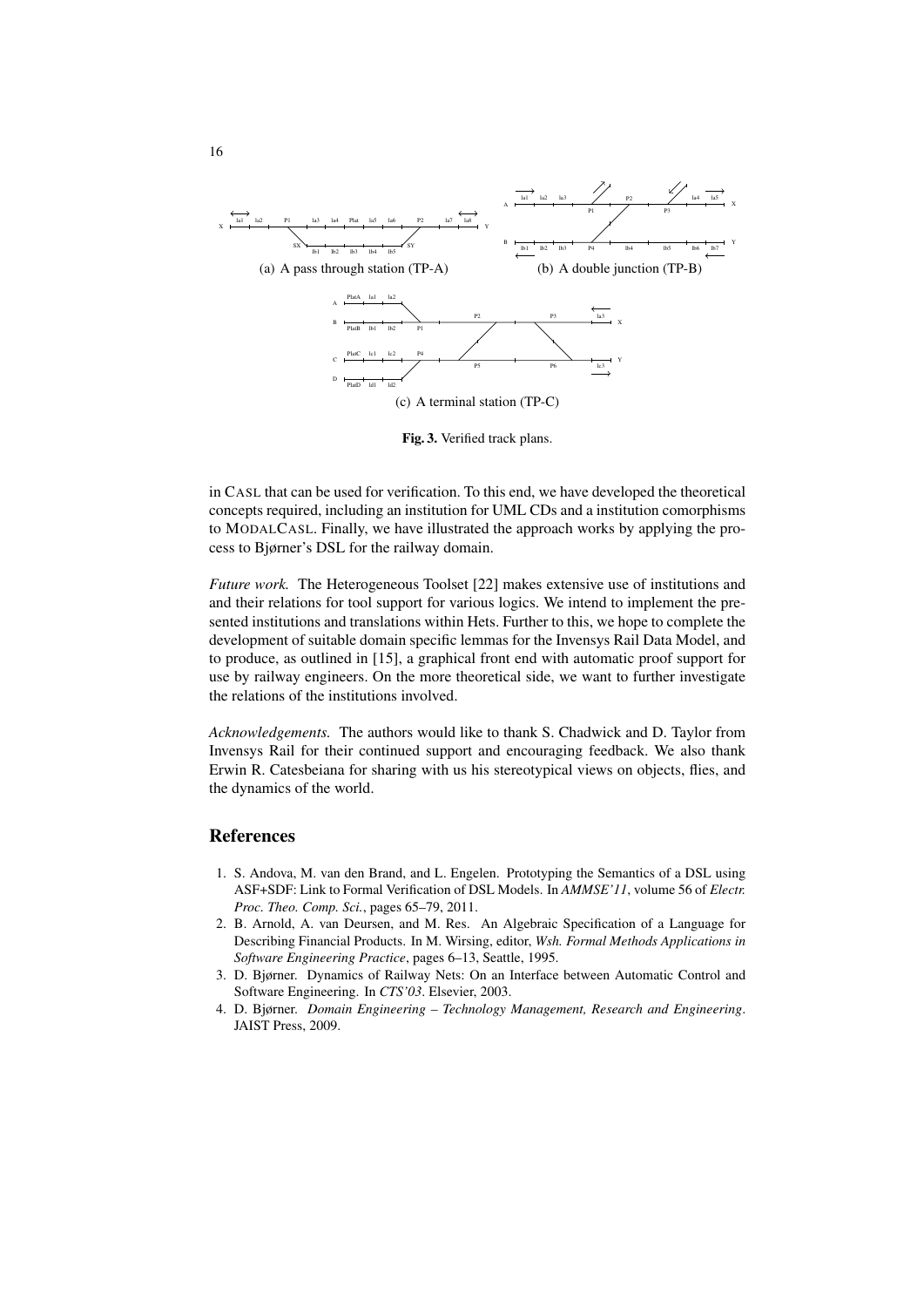

Fig. 3. Verified track plans.

in CASL that can be used for verification. To this end, we have developed the theoretical concepts required, including an institution for UML CDs and a institution comorphisms to MODALCASL. Finally, we have illustrated the approach works by applying the process to Bjørner's DSL for the railway domain.

*Future work.* The Heterogeneous Toolset [22] makes extensive use of institutions and and their relations for tool support for various logics. We intend to implement the presented institutions and translations within Hets. Further to this, we hope to complete the development of suitable domain specific lemmas for the Invensys Rail Data Model, and to produce, as outlined in [15], a graphical front end with automatic proof support for use by railway engineers. On the more theoretical side, we want to further investigate the relations of the institutions involved.

*Acknowledgements.* The authors would like to thank S. Chadwick and D. Taylor from Invensys Rail for their continued support and encouraging feedback. We also thank Erwin R. Catesbeiana for sharing with us his stereotypical views on objects, flies, and the dynamics of the world.

#### References

- 1. S. Andova, M. van den Brand, and L. Engelen. Prototyping the Semantics of a DSL using ASF+SDF: Link to Formal Verification of DSL Models. In *AMMSE'11*, volume 56 of *Electr. Proc. Theo. Comp. Sci.*, pages 65–79, 2011.
- 2. B. Arnold, A. van Deursen, and M. Res. An Algebraic Specification of a Language for Describing Financial Products. In M. Wirsing, editor, *Wsh. Formal Methods Applications in Software Engineering Practice*, pages 6–13, Seattle, 1995.
- 3. D. Bjørner. Dynamics of Railway Nets: On an Interface between Automatic Control and Software Engineering. In *CTS'03*. Elsevier, 2003.
- 4. D. Bjørner. *Domain Engineering Technology Management, Research and Engineering*. JAIST Press, 2009.